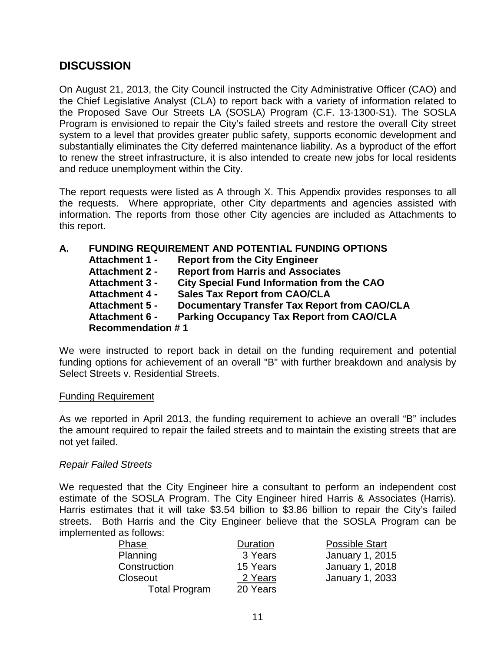# **DISCUSSION**

On August 21, 2013, the City Council instructed the City Administrative Officer (CAO) and the Chief Legislative Analyst (CLA) to report back with a variety of information related to the Proposed Save Our Streets LA (SOSLA) Program (C.F. 13-1300-S1). The SOSLA Program is envisioned to repair the City's failed streets and restore the overall City street system to a level that provides greater public safety, supports economic development and substantially eliminates the City deferred maintenance liability. As a byproduct of the effort to renew the street infrastructure, it is also intended to create new jobs for local residents and reduce unemployment within the City.

The report requests were listed as A through X. This Appendix provides responses to all the requests. Where appropriate, other City departments and agencies assisted with information. The reports from those other City agencies are included as Attachments to this report.

| А. | <b>FUNDING REQUIREMENT AND POTENTIAL FUNDING OPTIONS</b> |                                                     |  |  |
|----|----------------------------------------------------------|-----------------------------------------------------|--|--|
|    | <b>Attachment 1 -</b>                                    | <b>Report from the City Engineer</b>                |  |  |
|    | <b>Attachment 2 -</b>                                    | <b>Report from Harris and Associates</b>            |  |  |
|    | <b>Attachment 3 -</b>                                    | <b>City Special Fund Information from the CAO</b>   |  |  |
|    | <b>Attachment 4 -</b>                                    | <b>Sales Tax Report from CAO/CLA</b>                |  |  |
|    | <b>Attachment 5 -</b>                                    | <b>Documentary Transfer Tax Report from CAO/CLA</b> |  |  |
|    | <b>Attachment 6 -</b>                                    | <b>Parking Occupancy Tax Report from CAO/CLA</b>    |  |  |
|    | <b>Recommendation #1</b>                                 |                                                     |  |  |

We were instructed to report back in detail on the funding requirement and potential funding options for achievement of an overall "B" with further breakdown and analysis by Select Streets v. Residential Streets.

#### Funding Requirement

As we reported in April 2013, the funding requirement to achieve an overall "B" includes the amount required to repair the failed streets and to maintain the existing streets that are not yet failed.

#### *Repair Failed Streets*

We requested that the City Engineer hire a consultant to perform an independent cost estimate of the SOSLA Program. The City Engineer hired Harris & Associates (Harris). Harris estimates that it will take \$3.54 billion to \$3.86 billion to repair the City's failed streets. Both Harris and the City Engineer believe that the SOSLA Program can be implemented as follows:

| <b>Phase</b>         | Duration | <b>Possible Start</b> |
|----------------------|----------|-----------------------|
| Planning             | 3 Years  | January 1, 2015       |
| Construction         | 15 Years | January 1, 2018       |
| Closeout             | 2 Years  | January 1, 2033       |
| <b>Total Program</b> | 20 Years |                       |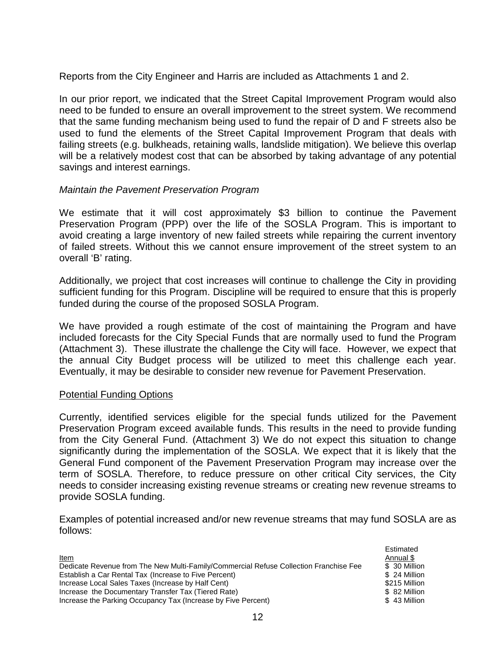Reports from the City Engineer and Harris are included as Attachments 1 and 2.

In our prior report, we indicated that the Street Capital Improvement Program would also need to be funded to ensure an overall improvement to the street system. We recommend that the same funding mechanism being used to fund the repair of D and F streets also be used to fund the elements of the Street Capital Improvement Program that deals with failing streets (e.g. bulkheads, retaining walls, landslide mitigation). We believe this overlap will be a relatively modest cost that can be absorbed by taking advantage of any potential savings and interest earnings.

#### *Maintain the Pavement Preservation Program*

We estimate that it will cost approximately \$3 billion to continue the Pavement Preservation Program (PPP) over the life of the SOSLA Program. This is important to avoid creating a large inventory of new failed streets while repairing the current inventory of failed streets. Without this we cannot ensure improvement of the street system to an overall 'B' rating.

Additionally, we project that cost increases will continue to challenge the City in providing sufficient funding for this Program. Discipline will be required to ensure that this is properly funded during the course of the proposed SOSLA Program.

We have provided a rough estimate of the cost of maintaining the Program and have included forecasts for the City Special Funds that are normally used to fund the Program (Attachment 3). These illustrate the challenge the City will face. However, we expect that the annual City Budget process will be utilized to meet this challenge each year. Eventually, it may be desirable to consider new revenue for Pavement Preservation.

#### Potential Funding Options

Currently, identified services eligible for the special funds utilized for the Pavement Preservation Program exceed available funds. This results in the need to provide funding from the City General Fund. (Attachment 3) We do not expect this situation to change significantly during the implementation of the SOSLA. We expect that it is likely that the General Fund component of the Pavement Preservation Program may increase over the term of SOSLA. Therefore, to reduce pressure on other critical City services, the City needs to consider increasing existing revenue streams or creating new revenue streams to provide SOSLA funding.

Examples of potential increased and/or new revenue streams that may fund SOSLA are as follows:

|                                                                                       | Estimated     |
|---------------------------------------------------------------------------------------|---------------|
| <b>Item</b>                                                                           | Annual \$     |
| Dedicate Revenue from The New Multi-Family/Commercial Refuse Collection Franchise Fee | \$ 30 Million |
| Establish a Car Rental Tax (Increase to Five Percent)                                 | \$ 24 Million |
| Increase Local Sales Taxes (Increase by Half Cent)                                    | \$215 Million |
| Increase the Documentary Transfer Tax (Tiered Rate)                                   | \$ 82 Million |
| Increase the Parking Occupancy Tax (Increase by Five Percent)                         | \$43 Million  |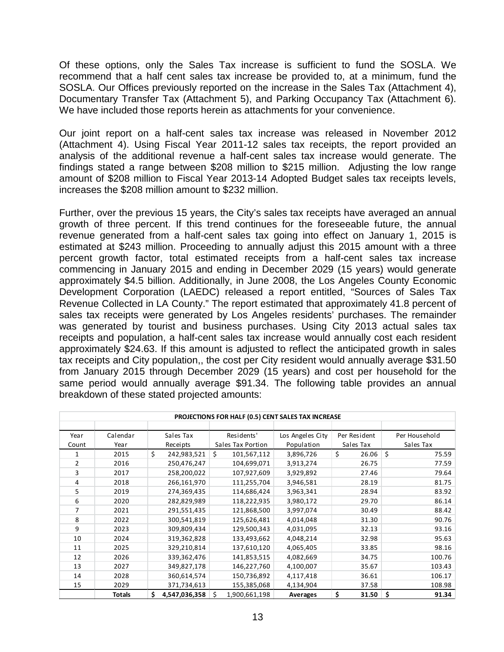Of these options, only the Sales Tax increase is sufficient to fund the SOSLA. We recommend that a half cent sales tax increase be provided to, at a minimum, fund the SOSLA. Our Offices previously reported on the increase in the Sales Tax (Attachment 4), Documentary Transfer Tax (Attachment 5), and Parking Occupancy Tax (Attachment 6). We have included those reports herein as attachments for your convenience.

Our joint report on a half-cent sales tax increase was released in November 2012 (Attachment 4). Using Fiscal Year 2011-12 sales tax receipts, the report provided an analysis of the additional revenue a half-cent sales tax increase would generate. The findings stated a range between \$208 million to \$215 million. Adjusting the low range amount of \$208 million to Fiscal Year 2013-14 Adopted Budget sales tax receipts levels, increases the \$208 million amount to \$232 million.

Further, over the previous 15 years, the City's sales tax receipts have averaged an annual growth of three percent. If this trend continues for the foreseeable future, the annual revenue generated from a half-cent sales tax going into effect on January 1, 2015 is estimated at \$243 million. Proceeding to annually adjust this 2015 amount with a three percent growth factor, total estimated receipts from a half-cent sales tax increase commencing in January 2015 and ending in December 2029 (15 years) would generate approximately \$4.5 billion. Additionally, in June 2008, the Los Angeles County Economic Development Corporation (LAEDC) released a report entitled, "Sources of Sales Tax Revenue Collected in LA County." The report estimated that approximately 41.8 percent of sales tax receipts were generated by Los Angeles residents' purchases. The remainder was generated by tourist and business purchases. Using City 2013 actual sales tax receipts and population, a half-cent sales tax increase would annually cost each resident approximately \$24.63. If this amount is adjusted to reflect the anticipated growth in sales tax receipts and City population,, the cost per City resident would annually average \$31.50 from January 2015 through December 2029 (15 years) and cost per household for the same period would annually average \$91.34. The following table provides an annual breakdown of these stated projected amounts:

| PROJECTIONS FOR HALF (0.5) CENT SALES TAX INCREASE |          |                      |                    |                  |              |               |
|----------------------------------------------------|----------|----------------------|--------------------|------------------|--------------|---------------|
|                                                    |          |                      |                    |                  |              |               |
| Year                                               | Calendar | Sales Tax            | Residents'         | Los Angeles City | Per Resident | Per Household |
| Count                                              | Year     | Receipts             | Sales Tax Portion  | Population       | Sales Tax    | Sales Tax     |
|                                                    | 2015     | Ś.<br>242,983,521    | Ś.<br>101,567,112  | 3,896,726        | \$<br>26.06  | \$<br>75.59   |
| 2                                                  | 2016     | 250,476,247          | 104,699,071        | 3,913,274        | 26.75        | 77.59         |
| 3                                                  | 2017     | 258,200,022          | 107,927,609        | 3,929,892        | 27.46        | 79.64         |
| 4                                                  | 2018     | 266,161,970          | 111,255,704        | 3,946,581        | 28.19        | 81.75         |
| 5                                                  | 2019     | 274,369,435          | 114,686,424        | 3,963,341        | 28.94        | 83.92         |
| 6                                                  | 2020     | 282,829,989          | 118,222,935        | 3,980,172        | 29.70        | 86.14         |
| 7                                                  | 2021     | 291,551,435          | 121,868,500        | 3,997,074        | 30.49        | 88.42         |
| 8                                                  | 2022     | 300,541,819          | 125,626,481        | 4,014,048        | 31.30        | 90.76         |
| 9                                                  | 2023     | 309,809,434          | 129,500,343        | 4,031,095        | 32.13        | 93.16         |
| 10                                                 | 2024     | 319,362,828          | 133,493,662        | 4,048,214        | 32.98        | 95.63         |
| 11                                                 | 2025     | 329,210,814          | 137,610,120        | 4,065,405        | 33.85        | 98.16         |
| 12                                                 | 2026     | 339,362,476          | 141,853,515        | 4,082,669        | 34.75        | 100.76        |
| 13                                                 | 2027     | 349,827,178          | 146,227,760        | 4,100,007        | 35.67        | 103.43        |
| 14                                                 | 2028     | 360,614,574          | 150,736,892        | 4,117,418        | 36.61        | 106.17        |
| 15                                                 | 2029     | 371,734,613          | 155,385,068        | 4,134,904        | 37.58        | 108.98        |
|                                                    | Totals   | \$.<br>4,547,036,358 | Ś<br>1,900,661,198 | <b>Averages</b>  | \$<br>31.50  | \$<br>91.34   |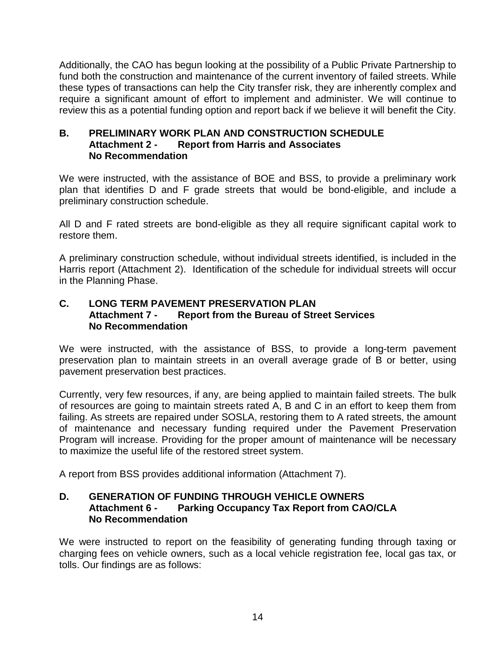Additionally, the CAO has begun looking at the possibility of a Public Private Partnership to fund both the construction and maintenance of the current inventory of failed streets. While these types of transactions can help the City transfer risk, they are inherently complex and require a significant amount of effort to implement and administer. We will continue to review this as a potential funding option and report back if we believe it will benefit the City.

#### **B. PRELIMINARY WORK PLAN AND CONSTRUCTION SCHEDULE Attachment 2 - Report from Harris and Associates No Recommendation**

We were instructed, with the assistance of BOE and BSS, to provide a preliminary work plan that identifies D and F grade streets that would be bond-eligible, and include a preliminary construction schedule.

All D and F rated streets are bond-eligible as they all require significant capital work to restore them.

A preliminary construction schedule, without individual streets identified, is included in the Harris report (Attachment 2). Identification of the schedule for individual streets will occur in the Planning Phase.

### **C. LONG TERM PAVEMENT PRESERVATION PLAN Attachment 7 - Report from the Bureau of Street Services No Recommendation**

We were instructed, with the assistance of BSS, to provide a long-term pavement preservation plan to maintain streets in an overall average grade of B or better, using pavement preservation best practices.

Currently, very few resources, if any, are being applied to maintain failed streets. The bulk of resources are going to maintain streets rated A, B and C in an effort to keep them from failing. As streets are repaired under SOSLA, restoring them to A rated streets, the amount of maintenance and necessary funding required under the Pavement Preservation Program will increase. Providing for the proper amount of maintenance will be necessary to maximize the useful life of the restored street system.

A report from BSS provides additional information (Attachment 7).

### **D. GENERATION OF FUNDING THROUGH VEHICLE OWNERS Parking Occupancy Tax Report from CAO/CLA No Recommendation**

We were instructed to report on the feasibility of generating funding through taxing or charging fees on vehicle owners, such as a local vehicle registration fee, local gas tax, or tolls. Our findings are as follows: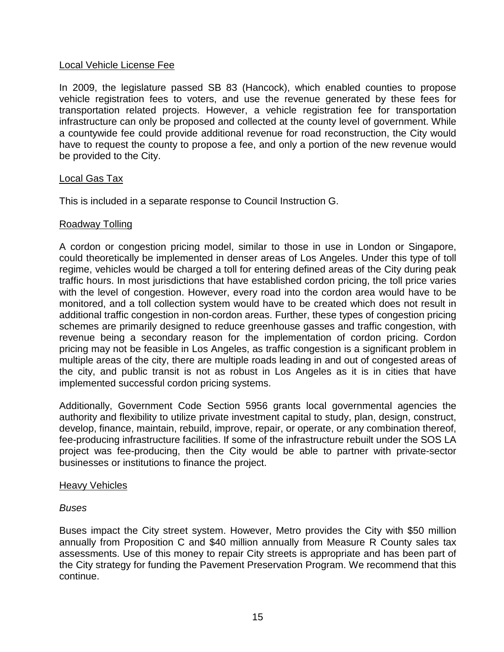#### Local Vehicle License Fee

In 2009, the legislature passed SB 83 (Hancock), which enabled counties to propose vehicle registration fees to voters, and use the revenue generated by these fees for transportation related projects. However, a vehicle registration fee for transportation infrastructure can only be proposed and collected at the county level of government. While a countywide fee could provide additional revenue for road reconstruction, the City would have to request the county to propose a fee, and only a portion of the new revenue would be provided to the City.

### Local Gas Tax

This is included in a separate response to Council Instruction G.

### Roadway Tolling

A cordon or congestion pricing model, similar to those in use in London or Singapore, could theoretically be implemented in denser areas of Los Angeles. Under this type of toll regime, vehicles would be charged a toll for entering defined areas of the City during peak traffic hours. In most jurisdictions that have established cordon pricing, the toll price varies with the level of congestion. However, every road into the cordon area would have to be monitored, and a toll collection system would have to be created which does not result in additional traffic congestion in non-cordon areas. Further, these types of congestion pricing schemes are primarily designed to reduce greenhouse gasses and traffic congestion, with revenue being a secondary reason for the implementation of cordon pricing. Cordon pricing may not be feasible in Los Angeles, as traffic congestion is a significant problem in multiple areas of the city, there are multiple roads leading in and out of congested areas of the city, and public transit is not as robust in Los Angeles as it is in cities that have implemented successful cordon pricing systems.

Additionally, Government Code Section 5956 grants local governmental agencies the authority and flexibility to utilize private investment capital to study, plan, design, construct, develop, finance, maintain, rebuild, improve, repair, or operate, or any combination thereof, fee-producing infrastructure facilities. If some of the infrastructure rebuilt under the SOS LA project was fee-producing, then the City would be able to partner with private-sector businesses or institutions to finance the project.

#### Heavy Vehicles

#### *Buses*

Buses impact the City street system. However, Metro provides the City with \$50 million annually from Proposition C and \$40 million annually from Measure R County sales tax assessments. Use of this money to repair City streets is appropriate and has been part of the City strategy for funding the Pavement Preservation Program. We recommend that this continue.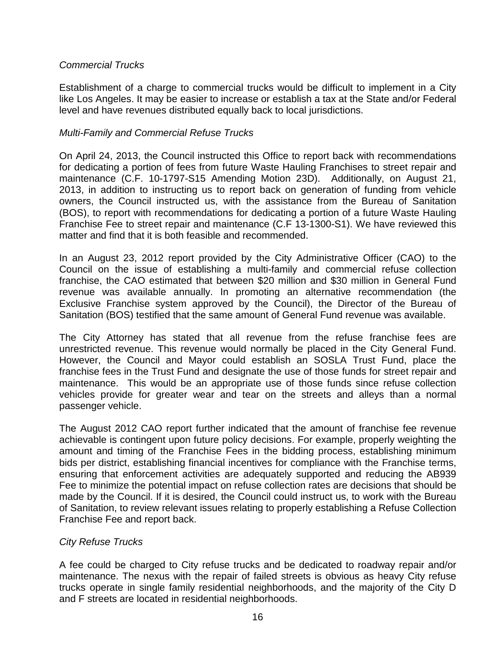### *Commercial Trucks*

Establishment of a charge to commercial trucks would be difficult to implement in a City like Los Angeles. It may be easier to increase or establish a tax at the State and/or Federal level and have revenues distributed equally back to local jurisdictions.

#### *Multi-Family and Commercial Refuse Trucks*

On April 24, 2013, the Council instructed this Office to report back with recommendations for dedicating a portion of fees from future Waste Hauling Franchises to street repair and maintenance (C.F. 10-1797-S15 Amending Motion 23D). Additionally, on August 21, 2013, in addition to instructing us to report back on generation of funding from vehicle owners, the Council instructed us, with the assistance from the Bureau of Sanitation (BOS), to report with recommendations for dedicating a portion of a future Waste Hauling Franchise Fee to street repair and maintenance (C.F 13-1300-S1). We have reviewed this matter and find that it is both feasible and recommended.

In an August 23, 2012 report provided by the City Administrative Officer (CAO) to the Council on the issue of establishing a multi-family and commercial refuse collection franchise, the CAO estimated that between \$20 million and \$30 million in General Fund revenue was available annually. In promoting an alternative recommendation (the Exclusive Franchise system approved by the Council), the Director of the Bureau of Sanitation (BOS) testified that the same amount of General Fund revenue was available.

The City Attorney has stated that all revenue from the refuse franchise fees are unrestricted revenue. This revenue would normally be placed in the City General Fund. However, the Council and Mayor could establish an SOSLA Trust Fund, place the franchise fees in the Trust Fund and designate the use of those funds for street repair and maintenance. This would be an appropriate use of those funds since refuse collection vehicles provide for greater wear and tear on the streets and alleys than a normal passenger vehicle.

The August 2012 CAO report further indicated that the amount of franchise fee revenue achievable is contingent upon future policy decisions. For example, properly weighting the amount and timing of the Franchise Fees in the bidding process, establishing minimum bids per district, establishing financial incentives for compliance with the Franchise terms, ensuring that enforcement activities are adequately supported and reducing the AB939 Fee to minimize the potential impact on refuse collection rates are decisions that should be made by the Council. If it is desired, the Council could instruct us, to work with the Bureau of Sanitation, to review relevant issues relating to properly establishing a Refuse Collection Franchise Fee and report back.

### *City Refuse Trucks*

A fee could be charged to City refuse trucks and be dedicated to roadway repair and/or maintenance. The nexus with the repair of failed streets is obvious as heavy City refuse trucks operate in single family residential neighborhoods, and the majority of the City D and F streets are located in residential neighborhoods.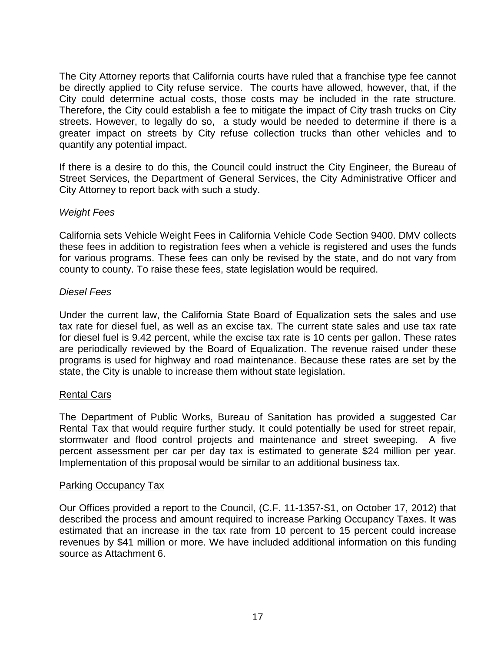The City Attorney reports that California courts have ruled that a franchise type fee cannot be directly applied to City refuse service. The courts have allowed, however, that, if the City could determine actual costs, those costs may be included in the rate structure. Therefore, the City could establish a fee to mitigate the impact of City trash trucks on City streets. However, to legally do so, a study would be needed to determine if there is a greater impact on streets by City refuse collection trucks than other vehicles and to quantify any potential impact.

If there is a desire to do this, the Council could instruct the City Engineer, the Bureau of Street Services, the Department of General Services, the City Administrative Officer and City Attorney to report back with such a study.

#### *Weight Fees*

California sets Vehicle Weight Fees in California Vehicle Code Section 9400. DMV collects these fees in addition to registration fees when a vehicle is registered and uses the funds for various programs. These fees can only be revised by the state, and do not vary from county to county. To raise these fees, state legislation would be required.

#### *Diesel Fees*

Under the current law, the California State Board of Equalization sets the sales and use tax rate for diesel fuel, as well as an excise tax. The current state sales and use tax rate for diesel fuel is 9.42 percent, while the excise tax rate is 10 cents per gallon. These rates are periodically reviewed by the Board of Equalization. The revenue raised under these programs is used for highway and road maintenance. Because these rates are set by the state, the City is unable to increase them without state legislation.

#### Rental Cars

The Department of Public Works, Bureau of Sanitation has provided a suggested Car Rental Tax that would require further study. It could potentially be used for street repair, stormwater and flood control projects and maintenance and street sweeping. A five percent assessment per car per day tax is estimated to generate \$24 million per year. Implementation of this proposal would be similar to an additional business tax.

#### Parking Occupancy Tax

Our Offices provided a report to the Council, (C.F. 11-1357-S1, on October 17, 2012) that described the process and amount required to increase Parking Occupancy Taxes. It was estimated that an increase in the tax rate from 10 percent to 15 percent could increase revenues by \$41 million or more. We have included additional information on this funding source as Attachment 6.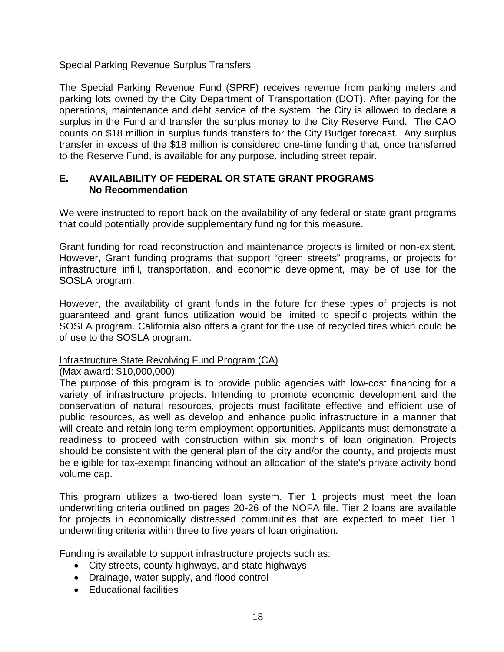### Special Parking Revenue Surplus Transfers

The Special Parking Revenue Fund (SPRF) receives revenue from parking meters and parking lots owned by the City Department of Transportation (DOT). After paying for the operations, maintenance and debt service of the system, the City is allowed to declare a surplus in the Fund and transfer the surplus money to the City Reserve Fund. The CAO counts on \$18 million in surplus funds transfers for the City Budget forecast. Any surplus transfer in excess of the \$18 million is considered one-time funding that, once transferred to the Reserve Fund, is available for any purpose, including street repair.

#### **E. AVAILABILITY OF FEDERAL OR STATE GRANT PROGRAMS No Recommendation**

We were instructed to report back on the availability of any federal or state grant programs that could potentially provide supplementary funding for this measure.

Grant funding for road reconstruction and maintenance projects is limited or non-existent. However, Grant funding programs that support "green streets" programs, or projects for infrastructure infill, transportation, and economic development, may be of use for the SOSLA program.

However, the availability of grant funds in the future for these types of projects is not guaranteed and grant funds utilization would be limited to specific projects within the SOSLA program. California also offers a grant for the use of recycled tires which could be of use to the SOSLA program.

#### Infrastructure State Revolving Fund Program (CA)

#### (Max award: \$10,000,000)

The purpose of this program is to provide public agencies with low-cost financing for a variety of infrastructure projects. Intending to promote economic development and the conservation of natural resources, projects must facilitate effective and efficient use of public resources, as well as develop and enhance public infrastructure in a manner that will create and retain long-term employment opportunities. Applicants must demonstrate a readiness to proceed with construction within six months of loan origination. Projects should be consistent with the general plan of the city and/or the county, and projects must be eligible for tax-exempt financing without an allocation of the state's private activity bond volume cap.

This program utilizes a two-tiered loan system. Tier 1 projects must meet the loan underwriting criteria outlined on pages 20-26 of the NOFA file. Tier 2 loans are available for projects in economically distressed communities that are expected to meet Tier 1 underwriting criteria within three to five years of loan origination.

Funding is available to support infrastructure projects such as:

- City streets, county highways, and state highways
- Drainage, water supply, and flood control
- Educational facilities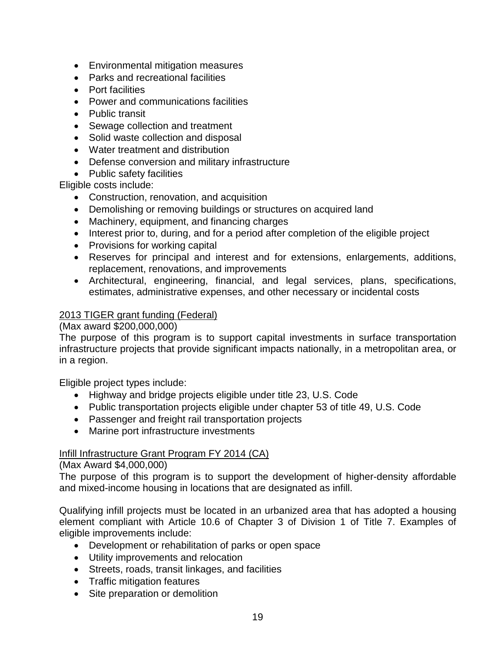- Environmental mitigation measures
- Parks and recreational facilities
- Port facilities
- Power and communications facilities
- Public transit
- Sewage collection and treatment
- Solid waste collection and disposal
- Water treatment and distribution
- Defense conversion and military infrastructure
- Public safety facilities

Eligible costs include:

- Construction, renovation, and acquisition
- Demolishing or removing buildings or structures on acquired land
- Machinery, equipment, and financing charges
- Interest prior to, during, and for a period after completion of the eligible project
- Provisions for working capital
- Reserves for principal and interest and for extensions, enlargements, additions, replacement, renovations, and improvements
- Architectural, engineering, financial, and legal services, plans, specifications, estimates, administrative expenses, and other necessary or incidental costs

### 2013 TIGER grant funding (Federal)

### (Max award \$200,000,000)

The purpose of this program is to support capital investments in surface transportation infrastructure projects that provide significant impacts nationally, in a metropolitan area, or in a region.

Eligible project types include:

- Highway and bridge projects eligible under title 23, U.S. Code
- Public transportation projects eligible under chapter 53 of title 49, U.S. Code
- Passenger and freight rail transportation projects
- Marine port infrastructure investments

#### Infill Infrastructure Grant Program FY 2014 (CA)

#### (Max Award \$4,000,000)

The purpose of this program is to support the development of higher-density affordable and mixed-income housing in locations that are designated as infill.

Qualifying infill projects must be located in an urbanized area that has adopted a housing element compliant with Article 10.6 of Chapter 3 of Division 1 of Title 7. Examples of eligible improvements include:

- Development or rehabilitation of parks or open space
- Utility improvements and relocation
- Streets, roads, transit linkages, and facilities
- Traffic mitigation features
- Site preparation or demolition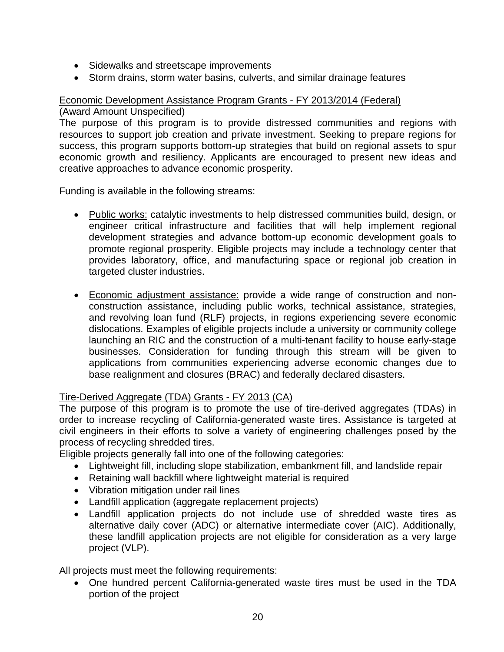- Sidewalks and streetscape improvements
- Storm drains, storm water basins, culverts, and similar drainage features

#### Economic Development Assistance Program Grants - FY 2013/2014 (Federal) (Award Amount Unspecified)

The purpose of this program is to provide distressed communities and regions with resources to support job creation and private investment. Seeking to prepare regions for success, this program supports bottom-up strategies that build on regional assets to spur economic growth and resiliency. Applicants are encouraged to present new ideas and creative approaches to advance economic prosperity.

Funding is available in the following streams:

- Public works: catalytic investments to help distressed communities build, design, or engineer critical infrastructure and facilities that will help implement regional development strategies and advance bottom-up economic development goals to promote regional prosperity. Eligible projects may include a technology center that provides laboratory, office, and manufacturing space or regional job creation in targeted cluster industries.
- Economic adjustment assistance: provide a wide range of construction and nonconstruction assistance, including public works, technical assistance, strategies, and revolving loan fund (RLF) projects, in regions experiencing severe economic dislocations. Examples of eligible projects include a university or community college launching an RIC and the construction of a multi-tenant facility to house early-stage businesses. Consideration for funding through this stream will be given to applications from communities experiencing adverse economic changes due to base realignment and closures (BRAC) and federally declared disasters.

#### Tire-Derived Aggregate (TDA) Grants - FY 2013 (CA)

The purpose of this program is to promote the use of tire-derived aggregates (TDAs) in order to increase recycling of California-generated waste tires. Assistance is targeted at civil engineers in their efforts to solve a variety of engineering challenges posed by the process of recycling shredded tires.

Eligible projects generally fall into one of the following categories:

- Lightweight fill, including slope stabilization, embankment fill, and landslide repair
- Retaining wall backfill where lightweight material is required
- Vibration mitigation under rail lines
- Landfill application (aggregate replacement projects)
- Landfill application projects do not include use of shredded waste tires as alternative daily cover (ADC) or alternative intermediate cover (AIC). Additionally, these landfill application projects are not eligible for consideration as a very large project (VLP).

All projects must meet the following requirements:

• One hundred percent California-generated waste tires must be used in the TDA portion of the project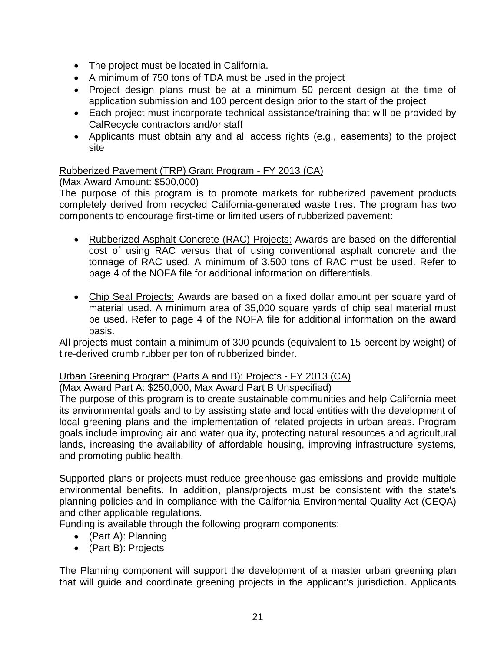- The project must be located in California.
- A minimum of 750 tons of TDA must be used in the project
- Project design plans must be at a minimum 50 percent design at the time of application submission and 100 percent design prior to the start of the project
- Each project must incorporate technical assistance/training that will be provided by CalRecycle contractors and/or staff
- Applicants must obtain any and all access rights (e.g., easements) to the project site

### Rubberized Pavement (TRP) Grant Program - FY 2013 (CA)

(Max Award Amount: \$500,000)

The purpose of this program is to promote markets for rubberized pavement products completely derived from recycled California-generated waste tires. The program has two components to encourage first-time or limited users of rubberized pavement:

- Rubberized Asphalt Concrete (RAC) Projects: Awards are based on the differential cost of using RAC versus that of using conventional asphalt concrete and the tonnage of RAC used. A minimum of 3,500 tons of RAC must be used. Refer to page 4 of the NOFA file for additional information on differentials.
- Chip Seal Projects: Awards are based on a fixed dollar amount per square yard of material used. A minimum area of 35,000 square yards of chip seal material must be used. Refer to page 4 of the NOFA file for additional information on the award basis.

All projects must contain a minimum of 300 pounds (equivalent to 15 percent by weight) of tire-derived crumb rubber per ton of rubberized binder.

### Urban Greening Program (Parts A and B): Projects - FY 2013 (CA)

(Max Award Part A: \$250,000, Max Award Part B Unspecified)

The purpose of this program is to create sustainable communities and help California meet its environmental goals and to by assisting state and local entities with the development of local greening plans and the implementation of related projects in urban areas. Program goals include improving air and water quality, protecting natural resources and agricultural lands, increasing the availability of affordable housing, improving infrastructure systems, and promoting public health.

Supported plans or projects must reduce greenhouse gas emissions and provide multiple environmental benefits. In addition, plans/projects must be consistent with the state's planning policies and in compliance with the California Environmental Quality Act (CEQA) and other applicable regulations.

Funding is available through the following program components:

- (Part A): Planning
- (Part B): Projects

The Planning component will support the development of a master urban greening plan that will guide and coordinate greening projects in the applicant's jurisdiction. Applicants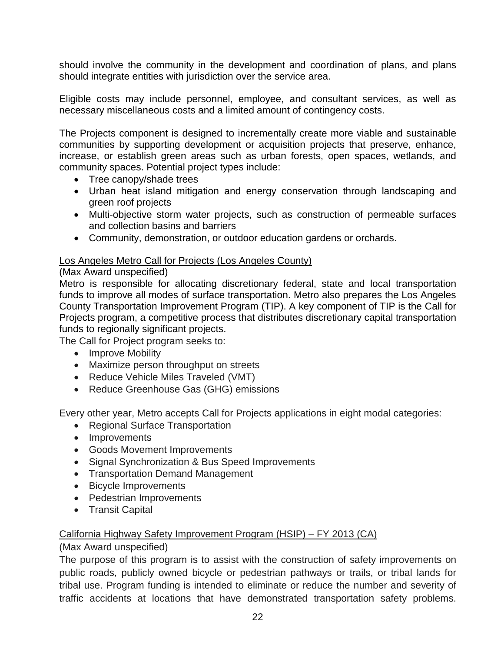should involve the community in the development and coordination of plans, and plans should integrate entities with jurisdiction over the service area.

Eligible costs may include personnel, employee, and consultant services, as well as necessary miscellaneous costs and a limited amount of contingency costs.

The Projects component is designed to incrementally create more viable and sustainable communities by supporting development or acquisition projects that preserve, enhance, increase, or establish green areas such as urban forests, open spaces, wetlands, and community spaces. Potential project types include:

- Tree canopy/shade trees
- Urban heat island mitigation and energy conservation through landscaping and green roof projects
- Multi-objective storm water projects, such as construction of permeable surfaces and collection basins and barriers
- Community, demonstration, or outdoor education gardens or orchards.

#### Los Angeles Metro Call for Projects (Los Angeles County)

### (Max Award unspecified)

Metro is responsible for allocating discretionary federal, state and local transportation funds to improve all modes of surface transportation. Metro also prepares the Los Angeles County Transportation Improvement Program (TIP). A key component of TIP is the Call for Projects program, a competitive process that distributes discretionary capital transportation funds to regionally significant projects.

The Call for Project program seeks to:

- Improve Mobility
- Maximize person throughput on streets
- Reduce Vehicle Miles Traveled (VMT)
- Reduce Greenhouse Gas (GHG) emissions

Every other year, Metro accepts Call for Projects applications in eight modal categories:

- Regional Surface Transportation
- Improvements
- Goods Movement Improvements
- Signal Synchronization & Bus Speed Improvements
- Transportation Demand Management
- Bicycle Improvements
- Pedestrian Improvements
- Transit Capital

### California Highway Safety Improvement Program (HSIP) – FY 2013 (CA)

#### (Max Award unspecified)

The purpose of this program is to assist with the construction of safety improvements on public roads, publicly owned bicycle or pedestrian pathways or trails, or tribal lands for tribal use. Program funding is intended to eliminate or reduce the number and severity of traffic accidents at locations that have demonstrated transportation safety problems.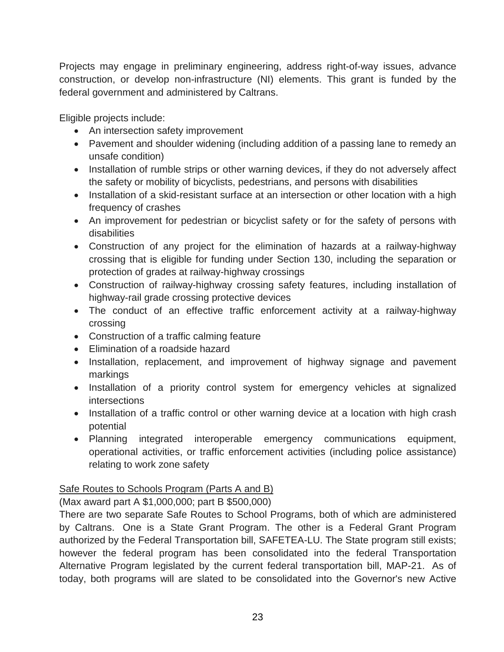Projects may engage in preliminary engineering, address right-of-way issues, advance construction, or develop non-infrastructure (NI) elements. This grant is funded by the federal government and administered by Caltrans.

Eligible projects include:

- An intersection safety improvement
- Pavement and shoulder widening (including addition of a passing lane to remedy an unsafe condition)
- Installation of rumble strips or other warning devices, if they do not adversely affect the safety or mobility of bicyclists, pedestrians, and persons with disabilities
- Installation of a skid-resistant surface at an intersection or other location with a high frequency of crashes
- An improvement for pedestrian or bicyclist safety or for the safety of persons with disabilities
- Construction of any project for the elimination of hazards at a railway-highway crossing that is eligible for funding under Section 130, including the separation or protection of grades at railway-highway crossings
- Construction of railway-highway crossing safety features, including installation of highway-rail grade crossing protective devices
- The conduct of an effective traffic enforcement activity at a railway-highway crossing
- Construction of a traffic calming feature
- Elimination of a roadside hazard
- Installation, replacement, and improvement of highway signage and pavement markings
- Installation of a priority control system for emergency vehicles at signalized intersections
- Installation of a traffic control or other warning device at a location with high crash potential
- Planning integrated interoperable emergency communications equipment, operational activities, or traffic enforcement activities (including police assistance) relating to work zone safety

## Safe Routes to Schools Program (Parts A and B)

(Max award part A \$1,000,000; part B \$500,000)

There are two separate Safe Routes to School Programs, both of which are administered by Caltrans. One is a State Grant Program. The other is a Federal Grant Program authorized by the Federal Transportation bill, SAFETEA-LU. The State program still exists; however the federal program has been consolidated into the federal Transportation Alternative Program legislated by the current federal transportation bill, MAP-21. As of today, both programs will are slated to be consolidated into the Governor's new Active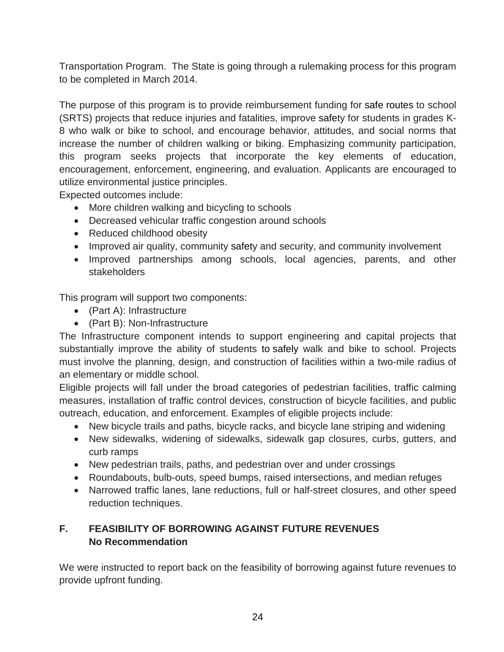Transportation Program. The State is going through a rulemaking process for this program to be completed in March 2014.

The purpose of this program is to provide reimbursement funding for safe routes to school (SRTS) projects that reduce injuries and fatalities, improve safety for students in grades K-8 who walk or bike to school, and encourage behavior, attitudes, and social norms that increase the number of children walking or biking. Emphasizing community participation, this program seeks projects that incorporate the key elements of education, encouragement, enforcement, engineering, and evaluation. Applicants are encouraged to utilize environmental justice principles.

Expected outcomes include:

- More children walking and bicycling to schools
- Decreased vehicular traffic congestion around schools
- Reduced childhood obesity
- Improved air quality, community safety and security, and community involvement
- Improved partnerships among schools, local agencies, parents, and other stakeholders

This program will support two components:

- (Part A): Infrastructure
- (Part B): Non-Infrastructure

The Infrastructure component intends to support engineering and capital projects that substantially improve the ability of students to safely walk and bike to school. Projects must involve the planning, design, and construction of facilities within a two-mile radius of an elementary or middle school.

Eligible projects will fall under the broad categories of pedestrian facilities, traffic calming measures, installation of traffic control devices, construction of bicycle facilities, and public outreach, education, and enforcement. Examples of eligible projects include:

- New bicycle trails and paths, bicycle racks, and bicycle lane striping and widening
- New sidewalks, widening of sidewalks, sidewalk gap closures, curbs, gutters, and curb ramps
- New pedestrian trails, paths, and pedestrian over and under crossings
- Roundabouts, bulb-outs, speed bumps, raised intersections, and median refuges
- Narrowed traffic lanes, lane reductions, full or half-street closures, and other speed reduction techniques.

# **F. FEASIBILITY OF BORROWING AGAINST FUTURE REVENUES No Recommendation**

We were instructed to report back on the feasibility of borrowing against future revenues to provide upfront funding.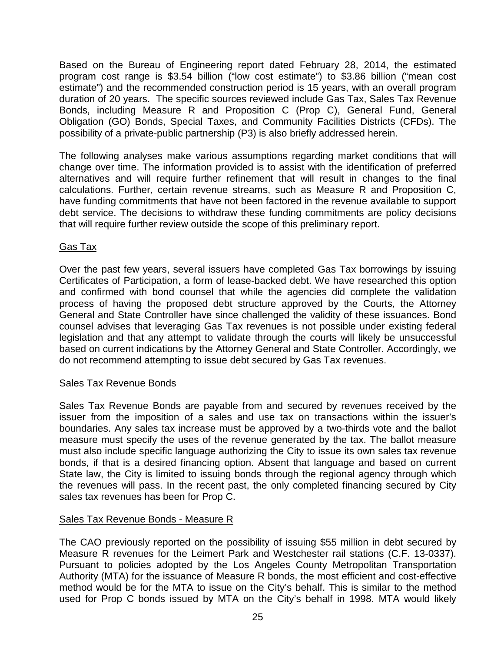Based on the Bureau of Engineering report dated February 28, 2014, the estimated program cost range is \$3.54 billion ("low cost estimate") to \$3.86 billion ("mean cost estimate") and the recommended construction period is 15 years, with an overall program duration of 20 years. The specific sources reviewed include Gas Tax, Sales Tax Revenue Bonds, including Measure R and Proposition C (Prop C), General Fund, General Obligation (GO) Bonds, Special Taxes, and Community Facilities Districts (CFDs). The possibility of a private-public partnership (P3) is also briefly addressed herein.

The following analyses make various assumptions regarding market conditions that will change over time. The information provided is to assist with the identification of preferred alternatives and will require further refinement that will result in changes to the final calculations. Further, certain revenue streams, such as Measure R and Proposition C, have funding commitments that have not been factored in the revenue available to support debt service. The decisions to withdraw these funding commitments are policy decisions that will require further review outside the scope of this preliminary report.

### Gas Tax

Over the past few years, several issuers have completed Gas Tax borrowings by issuing Certificates of Participation, a form of lease-backed debt. We have researched this option and confirmed with bond counsel that while the agencies did complete the validation process of having the proposed debt structure approved by the Courts, the Attorney General and State Controller have since challenged the validity of these issuances. Bond counsel advises that leveraging Gas Tax revenues is not possible under existing federal legislation and that any attempt to validate through the courts will likely be unsuccessful based on current indications by the Attorney General and State Controller. Accordingly, we do not recommend attempting to issue debt secured by Gas Tax revenues.

#### Sales Tax Revenue Bonds

Sales Tax Revenue Bonds are payable from and secured by revenues received by the issuer from the imposition of a sales and use tax on transactions within the issuer's boundaries. Any sales tax increase must be approved by a two-thirds vote and the ballot measure must specify the uses of the revenue generated by the tax. The ballot measure must also include specific language authorizing the City to issue its own sales tax revenue bonds, if that is a desired financing option. Absent that language and based on current State law, the City is limited to issuing bonds through the regional agency through which the revenues will pass. In the recent past, the only completed financing secured by City sales tax revenues has been for Prop C.

#### Sales Tax Revenue Bonds - Measure R

The CAO previously reported on the possibility of issuing \$55 million in debt secured by Measure R revenues for the Leimert Park and Westchester rail stations (C.F. 13-0337). Pursuant to policies adopted by the Los Angeles County Metropolitan Transportation Authority (MTA) for the issuance of Measure R bonds, the most efficient and cost-effective method would be for the MTA to issue on the City's behalf. This is similar to the method used for Prop C bonds issued by MTA on the City's behalf in 1998. MTA would likely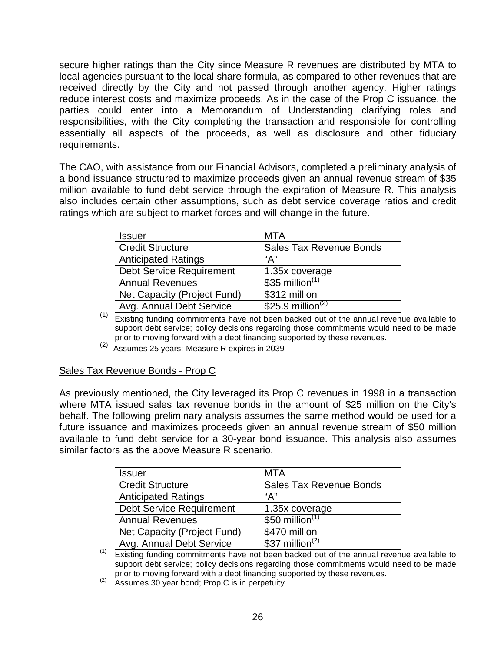secure higher ratings than the City since Measure R revenues are distributed by MTA to local agencies pursuant to the local share formula, as compared to other revenues that are received directly by the City and not passed through another agency. Higher ratings reduce interest costs and maximize proceeds. As in the case of the Prop C issuance, the parties could enter into a Memorandum of Understanding clarifying roles and responsibilities, with the City completing the transaction and responsible for controlling essentially all aspects of the proceeds, as well as disclosure and other fiduciary requirements.

The CAO, with assistance from our Financial Advisors, completed a preliminary analysis of a bond issuance structured to maximize proceeds given an annual revenue stream of \$35 million available to fund debt service through the expiration of Measure R. This analysis also includes certain other assumptions, such as debt service coverage ratios and credit ratings which are subject to market forces and will change in the future.

| <b>Issuer</b>                   | <b>MTA</b>                     |
|---------------------------------|--------------------------------|
| <b>Credit Structure</b>         | <b>Sales Tax Revenue Bonds</b> |
| <b>Anticipated Ratings</b>      | "А"                            |
| <b>Debt Service Requirement</b> | 1.35x coverage                 |
| <b>Annual Revenues</b>          | \$35 million $(1)$             |
| Net Capacity (Project Fund)     | \$312 million                  |
| Avg. Annual Debt Service        | \$25.9 million <sup>(2)</sup>  |

(1) Existing funding commitments have not been backed out of the annual revenue available to support debt service; policy decisions regarding those commitments would need to be made prior to moving forward with a debt financing supported by these revenues.

 $(2)$  Assumes 25 years; Measure R expires in 2039

#### Sales Tax Revenue Bonds - Prop C

As previously mentioned, the City leveraged its Prop C revenues in 1998 in a transaction where MTA issued sales tax revenue bonds in the amount of \$25 million on the City's behalf. The following preliminary analysis assumes the same method would be used for a future issuance and maximizes proceeds given an annual revenue stream of \$50 million available to fund debt service for a 30-year bond issuance. This analysis also assumes similar factors as the above Measure R scenario.

| <b>Issuer</b>                   | <b>MTA</b>                     |
|---------------------------------|--------------------------------|
| <b>Credit Structure</b>         | <b>Sales Tax Revenue Bonds</b> |
| <b>Anticipated Ratings</b>      | "А"                            |
| <b>Debt Service Requirement</b> | 1.35x coverage                 |
| <b>Annual Revenues</b>          | \$50 million $(1)$             |
| Net Capacity (Project Fund)     | \$470 million                  |
| Avg. Annual Debt Service        | \$37 million <sup>(2)</sup>    |

(1) Existing funding commitments have not been backed out of the annual revenue available to support debt service; policy decisions regarding those commitments would need to be made prior to moving forward with a debt financing supported by these revenues.<br>Assumes 30 year bond; Prop C is in perpetuity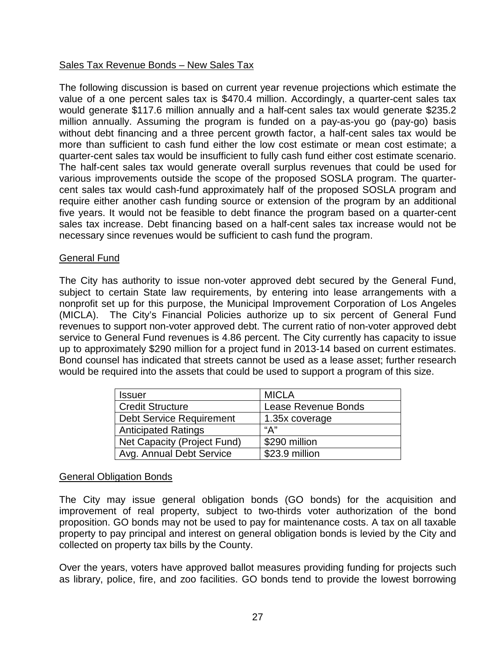### Sales Tax Revenue Bonds – New Sales Tax

The following discussion is based on current year revenue projections which estimate the value of a one percent sales tax is \$470.4 million. Accordingly, a quarter-cent sales tax would generate \$117.6 million annually and a half-cent sales tax would generate \$235.2 million annually. Assuming the program is funded on a pay-as-you go (pay-go) basis without debt financing and a three percent growth factor, a half-cent sales tax would be more than sufficient to cash fund either the low cost estimate or mean cost estimate; a quarter-cent sales tax would be insufficient to fully cash fund either cost estimate scenario. The half-cent sales tax would generate overall surplus revenues that could be used for various improvements outside the scope of the proposed SOSLA program. The quartercent sales tax would cash-fund approximately half of the proposed SOSLA program and require either another cash funding source or extension of the program by an additional five years. It would not be feasible to debt finance the program based on a quarter-cent sales tax increase. Debt financing based on a half-cent sales tax increase would not be necessary since revenues would be sufficient to cash fund the program.

#### General Fund

The City has authority to issue non-voter approved debt secured by the General Fund, subject to certain State law requirements, by entering into lease arrangements with a nonprofit set up for this purpose, the Municipal Improvement Corporation of Los Angeles (MICLA). The City's Financial Policies authorize up to six percent of General Fund revenues to support non-voter approved debt. The current ratio of non-voter approved debt service to General Fund revenues is 4.86 percent. The City currently has capacity to issue up to approximately \$290 million for a project fund in 2013-14 based on current estimates. Bond counsel has indicated that streets cannot be used as a lease asset; further research would be required into the assets that could be used to support a program of this size.

| Issuer                          | <b>MICLA</b>        |
|---------------------------------|---------------------|
| <b>Credit Structure</b>         | Lease Revenue Bonds |
| <b>Debt Service Requirement</b> | 1.35x coverage      |
| <b>Anticipated Ratings</b>      | "А"                 |
| Net Capacity (Project Fund)     | \$290 million       |
| Avg. Annual Debt Service        | \$23.9 million      |

#### General Obligation Bonds

The City may issue general obligation bonds (GO bonds) for the acquisition and improvement of real property, subject to two-thirds voter authorization of the bond proposition. GO bonds may not be used to pay for maintenance costs. A tax on all taxable property to pay principal and interest on general obligation bonds is levied by the City and collected on property tax bills by the County.

Over the years, voters have approved ballot measures providing funding for projects such as library, police, fire, and zoo facilities. GO bonds tend to provide the lowest borrowing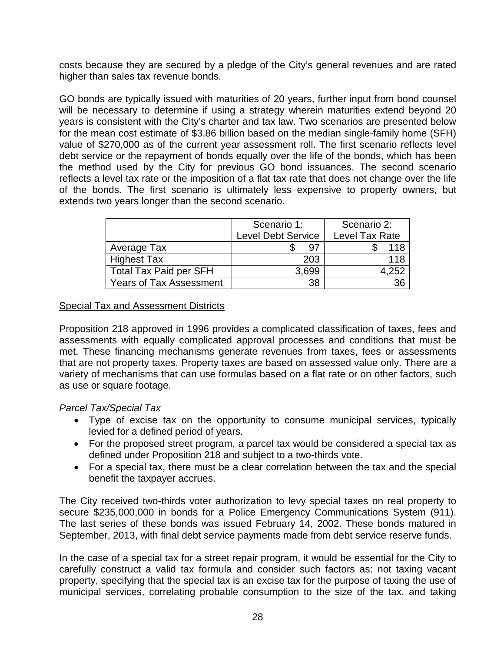costs because they are secured by a pledge of the City's general revenues and are rated higher than sales tax revenue bonds.

GO bonds are typically issued with maturities of 20 years, further input from bond counsel will be necessary to determine if using a strategy wherein maturities extend beyond 20 years is consistent with the City's charter and tax law. Two scenarios are presented below for the mean cost estimate of \$3.86 billion based on the median single-family home (SFH) value of \$270,000 as of the current year assessment roll. The first scenario reflects level debt service or the repayment of bonds equally over the life of the bonds, which has been the method used by the City for previous GO bond issuances. The second scenario reflects a level tax rate or the imposition of a flat tax rate that does not change over the life of the bonds. The first scenario is ultimately less expensive to property owners, but extends two years longer than the second scenario.

|                                | Scenario 1:               | Scenario 2:    |
|--------------------------------|---------------------------|----------------|
|                                | <b>Level Debt Service</b> | Level Tax Rate |
| Average Tax                    | 97                        | 118            |
| <b>Highest Tax</b>             | 203                       | 118            |
| <b>Total Tax Paid per SFH</b>  | 3,699                     | 4.252          |
| <b>Years of Tax Assessment</b> | 38                        | 36             |

#### Special Tax and Assessment Districts

Proposition 218 approved in 1996 provides a complicated classification of taxes, fees and assessments with equally complicated approval processes and conditions that must be met. These financing mechanisms generate revenues from taxes, fees or assessments that are not property taxes. Property taxes are based on assessed value only. There are a variety of mechanisms that can use formulas based on a flat rate or on other factors, such as use or square footage.

#### *Parcel Tax/Special Tax*

- Type of excise tax on the opportunity to consume municipal services, typically levied for a defined period of years.
- For the proposed street program, a parcel tax would be considered a special tax as defined under Proposition 218 and subject to a two-thirds vote.
- For a special tax, there must be a clear correlation between the tax and the special benefit the taxpayer accrues.

The City received two-thirds voter authorization to levy special taxes on real property to secure \$235,000,000 in bonds for a Police Emergency Communications System (911). The last series of these bonds was issued February 14, 2002. These bonds matured in September, 2013, with final debt service payments made from debt service reserve funds.

In the case of a special tax for a street repair program, it would be essential for the City to carefully construct a valid tax formula and consider such factors as: not taxing vacant property, specifying that the special tax is an excise tax for the purpose of taxing the use of municipal services, correlating probable consumption to the size of the tax, and taking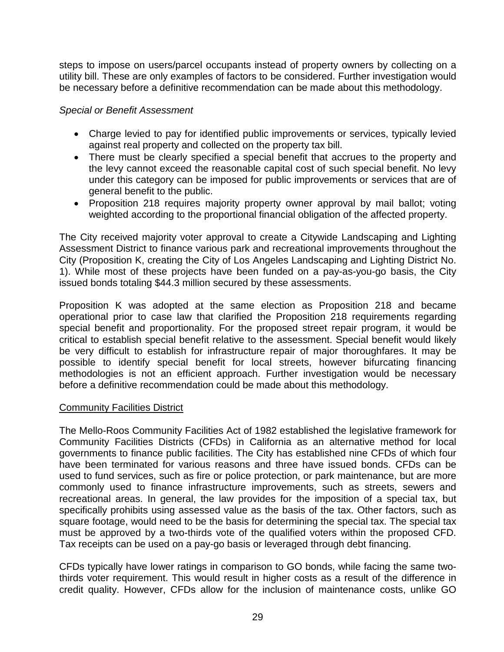steps to impose on users/parcel occupants instead of property owners by collecting on a utility bill. These are only examples of factors to be considered. Further investigation would be necessary before a definitive recommendation can be made about this methodology.

#### *Special or Benefit Assessment*

- Charge levied to pay for identified public improvements or services, typically levied against real property and collected on the property tax bill.
- There must be clearly specified a special benefit that accrues to the property and the levy cannot exceed the reasonable capital cost of such special benefit. No levy under this category can be imposed for public improvements or services that are of general benefit to the public.
- Proposition 218 requires majority property owner approval by mail ballot; voting weighted according to the proportional financial obligation of the affected property.

The City received majority voter approval to create a Citywide Landscaping and Lighting Assessment District to finance various park and recreational improvements throughout the City (Proposition K, creating the City of Los Angeles Landscaping and Lighting District No. 1). While most of these projects have been funded on a pay-as-you-go basis, the City issued bonds totaling \$44.3 million secured by these assessments.

Proposition K was adopted at the same election as Proposition 218 and became operational prior to case law that clarified the Proposition 218 requirements regarding special benefit and proportionality. For the proposed street repair program, it would be critical to establish special benefit relative to the assessment. Special benefit would likely be very difficult to establish for infrastructure repair of major thoroughfares. It may be possible to identify special benefit for local streets, however bifurcating financing methodologies is not an efficient approach. Further investigation would be necessary before a definitive recommendation could be made about this methodology.

#### Community Facilities District

The Mello-Roos Community Facilities Act of 1982 established the legislative framework for Community Facilities Districts (CFDs) in California as an alternative method for local governments to finance public facilities. The City has established nine CFDs of which four have been terminated for various reasons and three have issued bonds. CFDs can be used to fund services, such as fire or police protection, or park maintenance, but are more commonly used to finance infrastructure improvements, such as streets, sewers and recreational areas. In general, the law provides for the imposition of a special tax, but specifically prohibits using assessed value as the basis of the tax. Other factors, such as square footage, would need to be the basis for determining the special tax. The special tax must be approved by a two-thirds vote of the qualified voters within the proposed CFD. Tax receipts can be used on a pay-go basis or leveraged through debt financing.

CFDs typically have lower ratings in comparison to GO bonds, while facing the same twothirds voter requirement. This would result in higher costs as a result of the difference in credit quality. However, CFDs allow for the inclusion of maintenance costs, unlike GO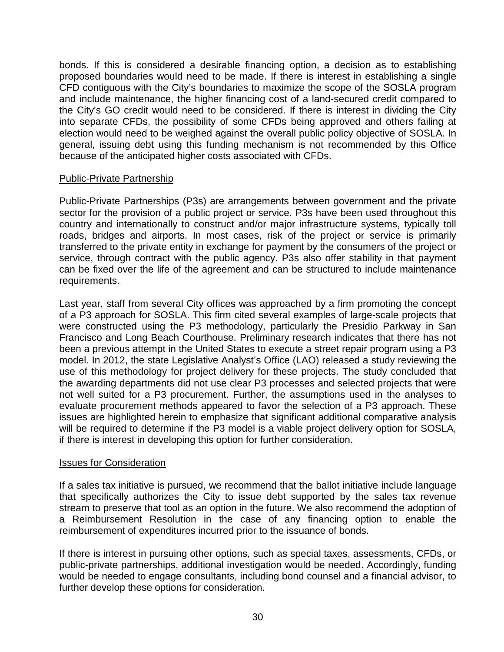bonds. If this is considered a desirable financing option, a decision as to establishing proposed boundaries would need to be made. If there is interest in establishing a single CFD contiguous with the City's boundaries to maximize the scope of the SOSLA program and include maintenance, the higher financing cost of a land-secured credit compared to the City's GO credit would need to be considered. If there is interest in dividing the City into separate CFDs, the possibility of some CFDs being approved and others failing at election would need to be weighed against the overall public policy objective of SOSLA. In general, issuing debt using this funding mechanism is not recommended by this Office because of the anticipated higher costs associated with CFDs.

#### Public-Private Partnership

Public-Private Partnerships (P3s) are arrangements between government and the private sector for the provision of a public project or service. P3s have been used throughout this country and internationally to construct and/or major infrastructure systems, typically toll roads, bridges and airports. In most cases, risk of the project or service is primarily transferred to the private entity in exchange for payment by the consumers of the project or service, through contract with the public agency. P3s also offer stability in that payment can be fixed over the life of the agreement and can be structured to include maintenance requirements.

Last year, staff from several City offices was approached by a firm promoting the concept of a P3 approach for SOSLA. This firm cited several examples of large-scale projects that were constructed using the P3 methodology, particularly the Presidio Parkway in San Francisco and Long Beach Courthouse. Preliminary research indicates that there has not been a previous attempt in the United States to execute a street repair program using a P3 model. In 2012, the state Legislative Analyst's Office (LAO) released a study reviewing the use of this methodology for project delivery for these projects. The study concluded that the awarding departments did not use clear P3 processes and selected projects that were not well suited for a P3 procurement. Further, the assumptions used in the analyses to evaluate procurement methods appeared to favor the selection of a P3 approach. These issues are highlighted herein to emphasize that significant additional comparative analysis will be required to determine if the P3 model is a viable project delivery option for SOSLA, if there is interest in developing this option for further consideration.

#### Issues for Consideration

If a sales tax initiative is pursued, we recommend that the ballot initiative include language that specifically authorizes the City to issue debt supported by the sales tax revenue stream to preserve that tool as an option in the future. We also recommend the adoption of a Reimbursement Resolution in the case of any financing option to enable the reimbursement of expenditures incurred prior to the issuance of bonds.

If there is interest in pursuing other options, such as special taxes, assessments, CFDs, or public-private partnerships, additional investigation would be needed. Accordingly, funding would be needed to engage consultants, including bond counsel and a financial advisor, to further develop these options for consideration.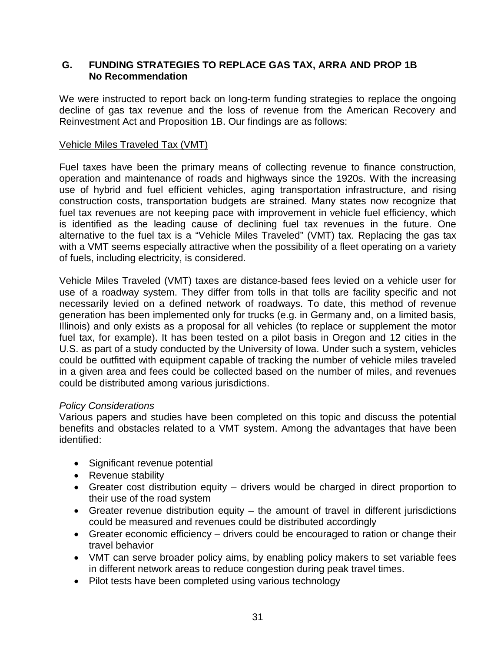#### **G. FUNDING STRATEGIES TO REPLACE GAS TAX, ARRA AND PROP 1B No Recommendation**

We were instructed to report back on long-term funding strategies to replace the ongoing decline of gas tax revenue and the loss of revenue from the American Recovery and Reinvestment Act and Proposition 1B. Our findings are as follows:

#### Vehicle Miles Traveled Tax (VMT)

Fuel taxes have been the primary means of collecting revenue to finance construction, operation and maintenance of roads and highways since the 1920s. With the increasing use of hybrid and fuel efficient vehicles, aging transportation infrastructure, and rising construction costs, transportation budgets are strained. Many states now recognize that fuel tax revenues are not keeping pace with improvement in vehicle fuel efficiency, which is identified as the leading cause of declining fuel tax revenues in the future. One alternative to the fuel tax is a "Vehicle Miles Traveled" (VMT) tax. Replacing the gas tax with a VMT seems especially attractive when the possibility of a fleet operating on a variety of fuels, including electricity, is considered.

Vehicle Miles Traveled (VMT) taxes are distance-based fees levied on a vehicle user for use of a roadway system. They differ from tolls in that tolls are facility specific and not necessarily levied on a defined network of roadways. To date, this method of revenue generation has been implemented only for trucks (e.g. in Germany and, on a limited basis, Illinois) and only exists as a proposal for all vehicles (to replace or supplement the motor fuel tax, for example). It has been tested on a pilot basis in Oregon and 12 cities in the U.S. as part of a study conducted by the University of Iowa. Under such a system, vehicles could be outfitted with equipment capable of tracking the number of vehicle miles traveled in a given area and fees could be collected based on the number of miles, and revenues could be distributed among various jurisdictions.

#### *Policy Considerations*

Various papers and studies have been completed on this topic and discuss the potential benefits and obstacles related to a VMT system. Among the advantages that have been identified:

- Significant revenue potential
- Revenue stability
- Greater cost distribution equity drivers would be charged in direct proportion to their use of the road system
- Greater revenue distribution equity the amount of travel in different jurisdictions could be measured and revenues could be distributed accordingly
- Greater economic efficiency drivers could be encouraged to ration or change their travel behavior
- VMT can serve broader policy aims, by enabling policy makers to set variable fees in different network areas to reduce congestion during peak travel times.
- Pilot tests have been completed using various technology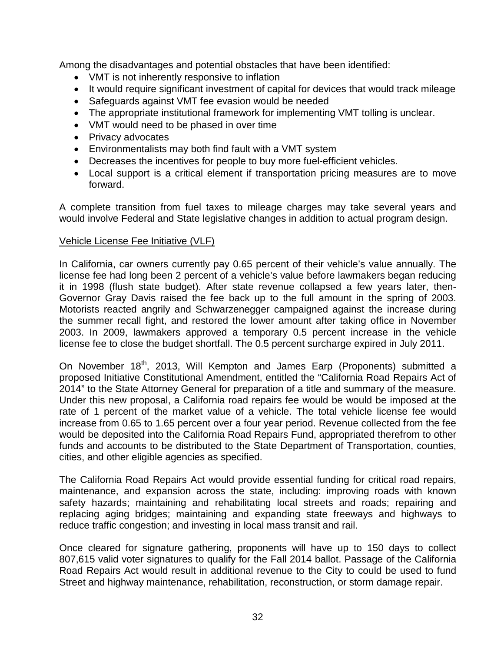Among the disadvantages and potential obstacles that have been identified:

- VMT is not inherently responsive to inflation
- It would require significant investment of capital for devices that would track mileage
- Safeguards against VMT fee evasion would be needed
- The appropriate institutional framework for implementing VMT tolling is unclear.
- VMT would need to be phased in over time
- Privacy advocates
- Environmentalists may both find fault with a VMT system
- Decreases the incentives for people to buy more fuel-efficient vehicles.
- Local support is a critical element if transportation pricing measures are to move forward.

A complete transition from fuel taxes to mileage charges may take several years and would involve Federal and State legislative changes in addition to actual program design.

#### Vehicle License Fee Initiative (VLF)

In California, car owners currently pay 0.65 percent of their vehicle's value annually. The license fee had long been 2 percent of a vehicle's value before lawmakers began reducing it in 1998 (flush state budget). After state revenue collapsed a few years later, then-Governor Gray Davis raised the fee back up to the full amount in the spring of 2003. Motorists reacted angrily and Schwarzenegger campaigned against the increase during the summer recall fight, and restored the lower amount after taking office in November 2003. In 2009, lawmakers approved a temporary 0.5 percent increase in the vehicle license fee to close the budget shortfall. The 0.5 percent surcharge expired in July 2011.

On November 18<sup>th</sup>, 2013, Will Kempton and James Earp (Proponents) submitted a proposed Initiative Constitutional Amendment, entitled the "California Road Repairs Act of 2014" to the State Attorney General for preparation of a title and summary of the measure. Under this new proposal, a California road repairs fee would be would be imposed at the rate of 1 percent of the market value of a vehicle. The total vehicle license fee would increase from 0.65 to 1.65 percent over a four year period. Revenue collected from the fee would be deposited into the California Road Repairs Fund, appropriated therefrom to other funds and accounts to be distributed to the State Department of Transportation, counties, cities, and other eligible agencies as specified.

The California Road Repairs Act would provide essential funding for critical road repairs, maintenance, and expansion across the state, including: improving roads with known safety hazards; maintaining and rehabilitating local streets and roads; repairing and replacing aging bridges; maintaining and expanding state freeways and highways to reduce traffic congestion; and investing in local mass transit and rail.

Once cleared for signature gathering, proponents will have up to 150 days to collect 807,615 valid voter signatures to qualify for the Fall 2014 ballot. Passage of the California Road Repairs Act would result in additional revenue to the City to could be used to fund Street and highway maintenance, rehabilitation, reconstruction, or storm damage repair.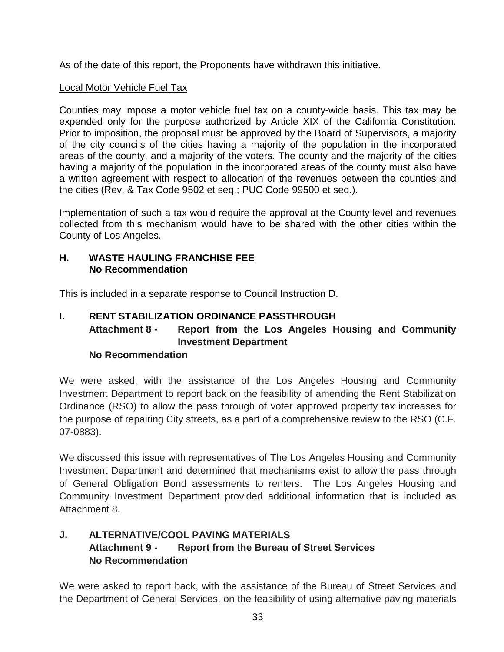As of the date of this report, the Proponents have withdrawn this initiative.

### **Local Motor Vehicle Fuel Tax**

Counties may impose a motor vehicle fuel tax on a county-wide basis. This tax may be expended only for the purpose authorized by Article XIX of the California Constitution. Prior to imposition, the proposal must be approved by the Board of Supervisors, a majority of the city councils of the cities having a majority of the population in the incorporated areas of the county, and a majority of the voters. The county and the majority of the cities having a majority of the population in the incorporated areas of the county must also have a written agreement with respect to allocation of the revenues between the counties and the cities (Rev. & Tax Code 9502 et seq.; PUC Code 99500 et seq.).

Implementation of such a tax would require the approval at the County level and revenues collected from this mechanism would have to be shared with the other cities within the County of Los Angeles.

#### **H. WASTE HAULING FRANCHISE FEE No Recommendation**

This is included in a separate response to Council Instruction D.

# **I. RENT STABILIZATION ORDINANCE PASSTHROUGH Attachment 8 - Report from the Los Angeles Housing and Community Investment Department**

## **No Recommendation**

We were asked, with the assistance of the Los Angeles Housing and Community Investment Department to report back on the feasibility of amending the Rent Stabilization Ordinance (RSO) to allow the pass through of voter approved property tax increases for the purpose of repairing City streets, as a part of a comprehensive review to the RSO (C.F. 07-0883).

We discussed this issue with representatives of The Los Angeles Housing and Community Investment Department and determined that mechanisms exist to allow the pass through of General Obligation Bond assessments to renters. The Los Angeles Housing and Community Investment Department provided additional information that is included as Attachment 8.

## **J. ALTERNATIVE/COOL PAVING MATERIALS Attachment 9 - Report from the Bureau of Street Services No Recommendation**

We were asked to report back, with the assistance of the Bureau of Street Services and the Department of General Services, on the feasibility of using alternative paving materials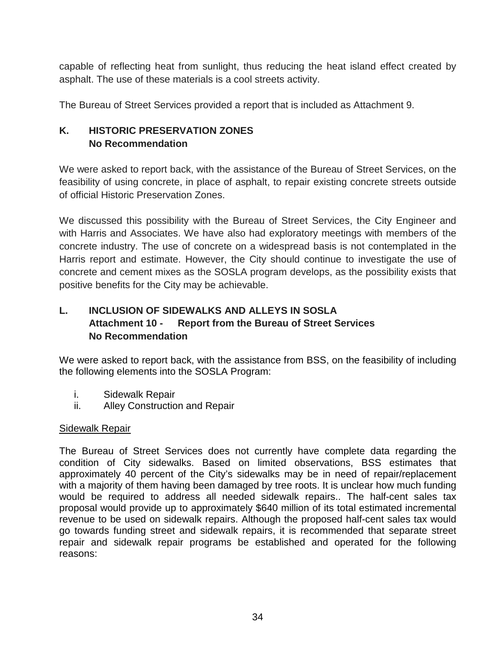capable of reflecting heat from sunlight, thus reducing the heat island effect created by asphalt. The use of these materials is a cool streets activity.

The Bureau of Street Services provided a report that is included as Attachment 9.

### **K. HISTORIC PRESERVATION ZONES No Recommendation**

We were asked to report back, with the assistance of the Bureau of Street Services, on the feasibility of using concrete, in place of asphalt, to repair existing concrete streets outside of official Historic Preservation Zones.

We discussed this possibility with the Bureau of Street Services, the City Engineer and with Harris and Associates. We have also had exploratory meetings with members of the concrete industry. The use of concrete on a widespread basis is not contemplated in the Harris report and estimate. However, the City should continue to investigate the use of concrete and cement mixes as the SOSLA program develops, as the possibility exists that positive benefits for the City may be achievable.

# **L. INCLUSION OF SIDEWALKS AND ALLEYS IN SOSLA Attachment 10 - Report from the Bureau of Street Services No Recommendation**

We were asked to report back, with the assistance from BSS, on the feasibility of including the following elements into the SOSLA Program:

- i. Sidewalk Repair
- ii. Alley Construction and Repair

#### Sidewalk Repair

The Bureau of Street Services does not currently have complete data regarding the condition of City sidewalks. Based on limited observations, BSS estimates that approximately 40 percent of the City's sidewalks may be in need of repair/replacement with a majority of them having been damaged by tree roots. It is unclear how much funding would be required to address all needed sidewalk repairs.. The half-cent sales tax proposal would provide up to approximately \$640 million of its total estimated incremental revenue to be used on sidewalk repairs. Although the proposed half-cent sales tax would go towards funding street and sidewalk repairs, it is recommended that separate street repair and sidewalk repair programs be established and operated for the following reasons: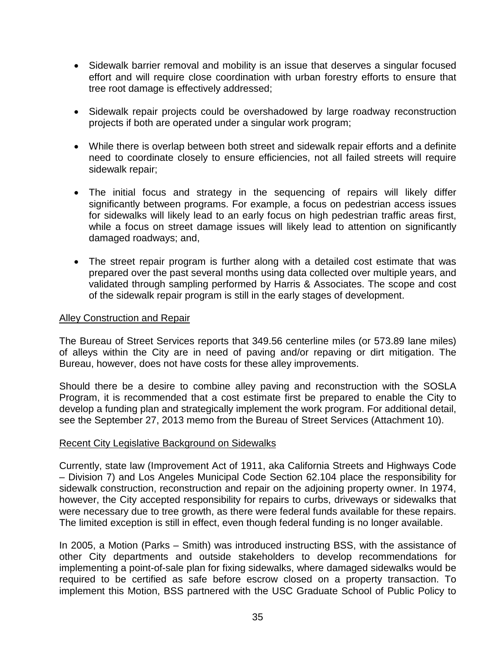- Sidewalk barrier removal and mobility is an issue that deserves a singular focused effort and will require close coordination with urban forestry efforts to ensure that tree root damage is effectively addressed;
- Sidewalk repair projects could be overshadowed by large roadway reconstruction projects if both are operated under a singular work program;
- While there is overlap between both street and sidewalk repair efforts and a definite need to coordinate closely to ensure efficiencies, not all failed streets will require sidewalk repair;
- The initial focus and strategy in the sequencing of repairs will likely differ significantly between programs. For example, a focus on pedestrian access issues for sidewalks will likely lead to an early focus on high pedestrian traffic areas first, while a focus on street damage issues will likely lead to attention on significantly damaged roadways; and,
- The street repair program is further along with a detailed cost estimate that was prepared over the past several months using data collected over multiple years, and validated through sampling performed by Harris & Associates. The scope and cost of the sidewalk repair program is still in the early stages of development.

#### Alley Construction and Repair

The Bureau of Street Services reports that 349.56 centerline miles (or 573.89 lane miles) of alleys within the City are in need of paving and/or repaving or dirt mitigation. The Bureau, however, does not have costs for these alley improvements.

Should there be a desire to combine alley paving and reconstruction with the SOSLA Program, it is recommended that a cost estimate first be prepared to enable the City to develop a funding plan and strategically implement the work program. For additional detail, see the September 27, 2013 memo from the Bureau of Street Services (Attachment 10).

#### Recent City Legislative Background on Sidewalks

Currently, state law (Improvement Act of 1911, aka California Streets and Highways Code – Division 7) and Los Angeles Municipal Code Section 62.104 place the responsibility for sidewalk construction, reconstruction and repair on the adjoining property owner. In 1974, however, the City accepted responsibility for repairs to curbs, driveways or sidewalks that were necessary due to tree growth, as there were federal funds available for these repairs. The limited exception is still in effect, even though federal funding is no longer available.

In 2005, a Motion (Parks – Smith) was introduced instructing BSS, with the assistance of other City departments and outside stakeholders to develop recommendations for implementing a point-of-sale plan for fixing sidewalks, where damaged sidewalks would be required to be certified as safe before escrow closed on a property transaction. To implement this Motion, BSS partnered with the USC Graduate School of Public Policy to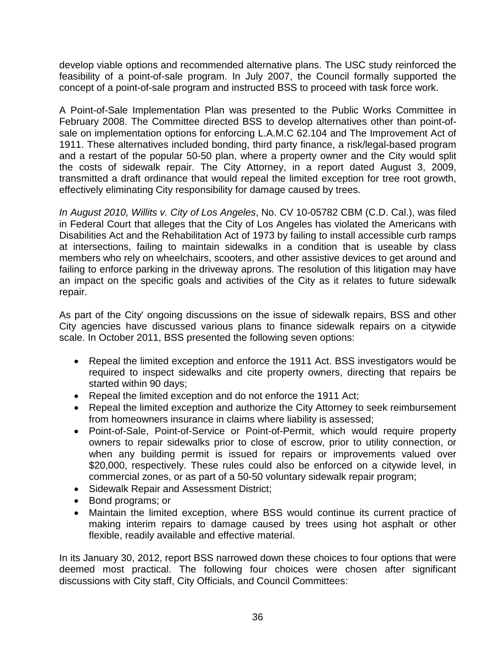develop viable options and recommended alternative plans. The USC study reinforced the feasibility of a point-of-sale program. In July 2007, the Council formally supported the concept of a point-of-sale program and instructed BSS to proceed with task force work.

A Point-of-Sale Implementation Plan was presented to the Public Works Committee in February 2008. The Committee directed BSS to develop alternatives other than point-ofsale on implementation options for enforcing L.A.M.C 62.104 and The Improvement Act of 1911. These alternatives included bonding, third party finance, a risk/legal-based program and a restart of the popular 50-50 plan, where a property owner and the City would split the costs of sidewalk repair. The City Attorney, in a report dated August 3, 2009, transmitted a draft ordinance that would repeal the limited exception for tree root growth, effectively eliminating City responsibility for damage caused by trees.

*In August 2010, Willits v. City of Los Angeles*, No. CV 10-05782 CBM (C.D. Cal.), was filed in Federal Court that alleges that the City of Los Angeles has violated the Americans with Disabilities Act and the Rehabilitation Act of 1973 by failing to install accessible curb ramps at intersections, failing to maintain sidewalks in a condition that is useable by class members who rely on wheelchairs, scooters, and other assistive devices to get around and failing to enforce parking in the driveway aprons. The resolution of this litigation may have an impact on the specific goals and activities of the City as it relates to future sidewalk repair.

As part of the City' ongoing discussions on the issue of sidewalk repairs, BSS and other City agencies have discussed various plans to finance sidewalk repairs on a citywide scale. In October 2011, BSS presented the following seven options:

- Repeal the limited exception and enforce the 1911 Act. BSS investigators would be required to inspect sidewalks and cite property owners, directing that repairs be started within 90 days;
- Repeal the limited exception and do not enforce the 1911 Act;
- Repeal the limited exception and authorize the City Attorney to seek reimbursement from homeowners insurance in claims where liability is assessed;
- Point-of-Sale, Point-of-Service or Point-of-Permit, which would require property owners to repair sidewalks prior to close of escrow, prior to utility connection, or when any building permit is issued for repairs or improvements valued over \$20,000, respectively. These rules could also be enforced on a citywide level, in commercial zones, or as part of a 50-50 voluntary sidewalk repair program;
- Sidewalk Repair and Assessment District;
- Bond programs; or
- Maintain the limited exception, where BSS would continue its current practice of making interim repairs to damage caused by trees using hot asphalt or other flexible, readily available and effective material.

In its January 30, 2012, report BSS narrowed down these choices to four options that were deemed most practical. The following four choices were chosen after significant discussions with City staff, City Officials, and Council Committees: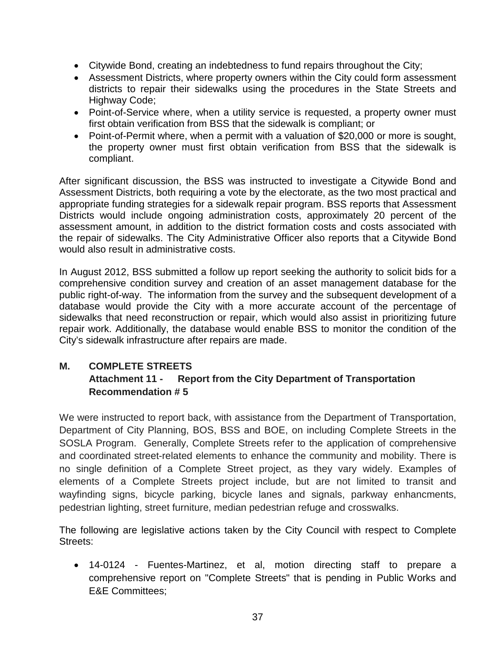- Citywide Bond, creating an indebtedness to fund repairs throughout the City;
- Assessment Districts, where property owners within the City could form assessment districts to repair their sidewalks using the procedures in the State Streets and Highway Code;
- Point-of-Service where, when a utility service is requested, a property owner must first obtain verification from BSS that the sidewalk is compliant; or
- Point-of-Permit where, when a permit with a valuation of \$20,000 or more is sought, the property owner must first obtain verification from BSS that the sidewalk is compliant.

After significant discussion, the BSS was instructed to investigate a Citywide Bond and Assessment Districts, both requiring a vote by the electorate, as the two most practical and appropriate funding strategies for a sidewalk repair program. BSS reports that Assessment Districts would include ongoing administration costs, approximately 20 percent of the assessment amount, in addition to the district formation costs and costs associated with the repair of sidewalks. The City Administrative Officer also reports that a Citywide Bond would also result in administrative costs.

In August 2012, BSS submitted a follow up report seeking the authority to solicit bids for a comprehensive condition survey and creation of an asset management database for the public right-of-way. The information from the survey and the subsequent development of a database would provide the City with a more accurate account of the percentage of sidewalks that need reconstruction or repair, which would also assist in prioritizing future repair work. Additionally, the database would enable BSS to monitor the condition of the City's sidewalk infrastructure after repairs are made.

### **M. COMPLETE STREETS Attachment 11 - Report from the City Department of Transportation Recommendation # 5**

We were instructed to report back, with assistance from the Department of Transportation, Department of City Planning, BOS, BSS and BOE, on including Complete Streets in the SOSLA Program. Generally, Complete Streets refer to the application of comprehensive and coordinated street-related elements to enhance the community and mobility. There is no single definition of a Complete Street project, as they vary widely. Examples of elements of a Complete Streets project include, but are not limited to transit and wayfinding signs, bicycle parking, bicycle lanes and signals, parkway enhancments, pedestrian lighting, street furniture, median pedestrian refuge and crosswalks.

The following are legislative actions taken by the City Council with respect to Complete Streets:

• 14-0124 - Fuentes-Martinez, et al, motion directing staff to prepare a comprehensive report on "Complete Streets" that is pending in Public Works and E&E Committees;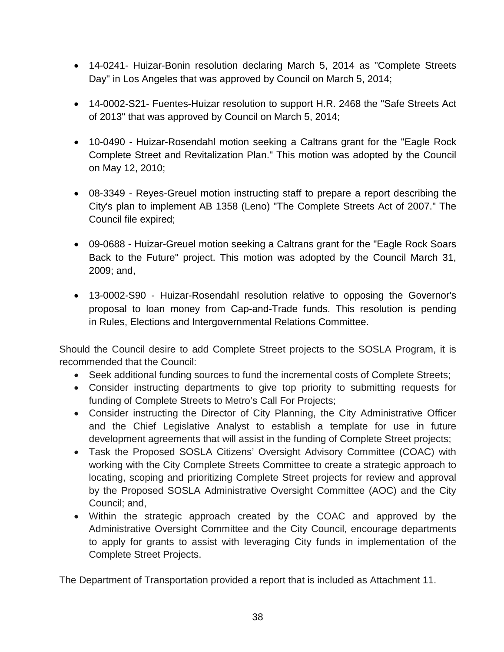- 14-0241- Huizar-Bonin resolution declaring March 5, 2014 as "Complete Streets Day" in Los Angeles that was approved by Council on March 5, 2014;
- 14-0002-S21- Fuentes-Huizar resolution to support H.R. 2468 the "Safe Streets Act of 2013" that was approved by Council on March 5, 2014;
- 10-0490 Huizar-Rosendahl motion seeking a Caltrans grant for the "Eagle Rock Complete Street and Revitalization Plan." This motion was adopted by the Council on May 12, 2010;
- 08-3349 Reyes-Greuel motion instructing staff to prepare a report describing the City's plan to implement AB 1358 (Leno) "The Complete Streets Act of 2007." The Council file expired;
- 09-0688 Huizar-Greuel motion seeking a Caltrans grant for the "Eagle Rock Soars Back to the Future" project. This motion was adopted by the Council March 31, 2009; and,
- 13-0002-S90 Huizar-Rosendahl resolution relative to opposing the Governor's proposal to loan money from Cap-and-Trade funds. This resolution is pending in Rules, Elections and Intergovernmental Relations Committee.

Should the Council desire to add Complete Street projects to the SOSLA Program, it is recommended that the Council:

- Seek additional funding sources to fund the incremental costs of Complete Streets;
- Consider instructing departments to give top priority to submitting requests for funding of Complete Streets to Metro's Call For Projects;
- Consider instructing the Director of City Planning, the City Administrative Officer and the Chief Legislative Analyst to establish a template for use in future development agreements that will assist in the funding of Complete Street projects;
- Task the Proposed SOSLA Citizens' Oversight Advisory Committee (COAC) with working with the City Complete Streets Committee to create a strategic approach to locating, scoping and prioritizing Complete Street projects for review and approval by the Proposed SOSLA Administrative Oversight Committee (AOC) and the City Council; and,
- Within the strategic approach created by the COAC and approved by the Administrative Oversight Committee and the City Council, encourage departments to apply for grants to assist with leveraging City funds in implementation of the Complete Street Projects.

The Department of Transportation provided a report that is included as Attachment 11.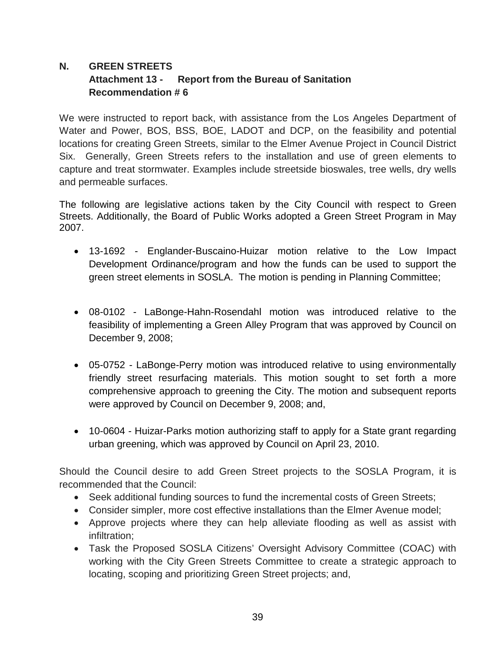# **N. GREEN STREETS Attachment 13 - Report from the Bureau of Sanitation Recommendation # 6**

We were instructed to report back, with assistance from the Los Angeles Department of Water and Power, BOS, BSS, BOE, LADOT and DCP, on the feasibility and potential locations for creating Green Streets, similar to the Elmer Avenue Project in Council District Six. Generally, Green Streets refers to the installation and use of green elements to capture and treat stormwater. Examples include streetside bioswales, tree wells, dry wells and permeable surfaces.

The following are legislative actions taken by the City Council with respect to Green Streets. Additionally, the Board of Public Works adopted a Green Street Program in May 2007.

- 13-1692 Englander-Buscaino-Huizar motion relative to the Low Impact Development Ordinance/program and how the funds can be used to support the green street elements in SOSLA. The motion is pending in Planning Committee;
- 08-0102 LaBonge-Hahn-Rosendahl motion was introduced relative to the feasibility of implementing a Green Alley Program that was approved by Council on December 9, 2008;
- 05-0752 LaBonge-Perry motion was introduced relative to using environmentally friendly street resurfacing materials. This motion sought to set forth a more comprehensive approach to greening the City. The motion and subsequent reports were approved by Council on December 9, 2008; and,
- 10-0604 Huizar-Parks motion authorizing staff to apply for a State grant regarding urban greening, which was approved by Council on April 23, 2010.

Should the Council desire to add Green Street projects to the SOSLA Program, it is recommended that the Council:

- Seek additional funding sources to fund the incremental costs of Green Streets;
- Consider simpler, more cost effective installations than the Elmer Avenue model;
- Approve projects where they can help alleviate flooding as well as assist with infiltration;
- Task the Proposed SOSLA Citizens' Oversight Advisory Committee (COAC) with working with the City Green Streets Committee to create a strategic approach to locating, scoping and prioritizing Green Street projects; and,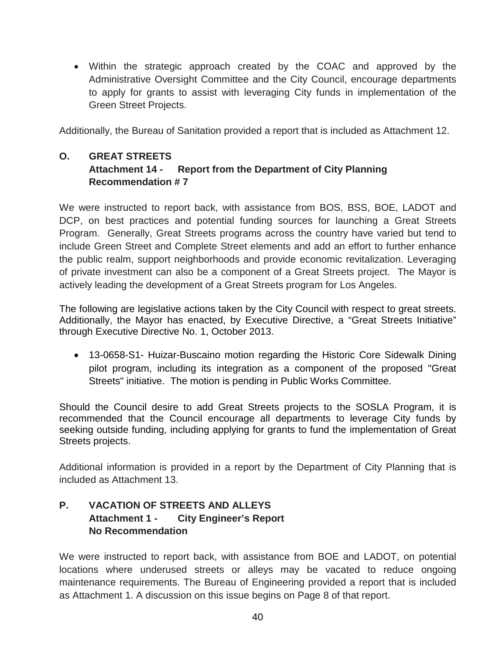• Within the strategic approach created by the COAC and approved by the Administrative Oversight Committee and the City Council, encourage departments to apply for grants to assist with leveraging City funds in implementation of the Green Street Projects.

Additionally, the Bureau of Sanitation provided a report that is included as Attachment 12.

### **O. GREAT STREETS Attachment 14 - Report from the Department of City Planning Recommendation # 7**

We were instructed to report back, with assistance from BOS, BSS, BOE, LADOT and DCP, on best practices and potential funding sources for launching a Great Streets Program. Generally, Great Streets programs across the country have varied but tend to include Green Street and Complete Street elements and add an effort to further enhance the public realm, support neighborhoods and provide economic revitalization. Leveraging of private investment can also be a component of a Great Streets project. The Mayor is actively leading the development of a Great Streets program for Los Angeles.

The following are legislative actions taken by the City Council with respect to great streets. Additionally, the Mayor has enacted, by Executive Directive, a "Great Streets Initiative" through Executive Directive No. 1, October 2013.

• 13-0658-S1- Huizar-Buscaino motion regarding the Historic Core Sidewalk Dining pilot program, including its integration as a component of the proposed "Great Streets" initiative. The motion is pending in Public Works Committee.

Should the Council desire to add Great Streets projects to the SOSLA Program, it is recommended that the Council encourage all departments to leverage City funds by seeking outside funding, including applying for grants to fund the implementation of Great Streets projects.

Additional information is provided in a report by the Department of City Planning that is included as Attachment 13.

# **P. VACATION OF STREETS AND ALLEYS Attachment 1 - City Engineer's Report No Recommendation**

We were instructed to report back, with assistance from BOE and LADOT, on potential locations where underused streets or alleys may be vacated to reduce ongoing maintenance requirements. The Bureau of Engineering provided a report that is included as Attachment 1. A discussion on this issue begins on Page 8 of that report.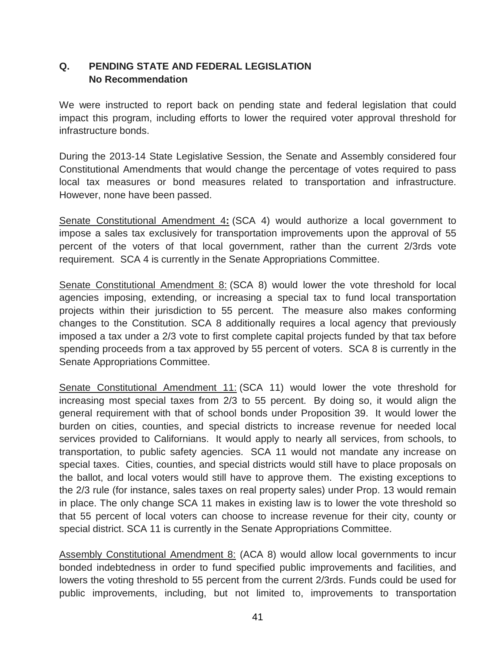### **Q. PENDING STATE AND FEDERAL LEGISLATION No Recommendation**

We were instructed to report back on pending state and federal legislation that could impact this program, including efforts to lower the required voter approval threshold for infrastructure bonds.

During the 2013-14 State Legislative Session, the Senate and Assembly considered four Constitutional Amendments that would change the percentage of votes required to pass local tax measures or bond measures related to transportation and infrastructure. However, none have been passed.

Senate Constitutional Amendment 4**:** (SCA 4) would authorize a local government to impose a sales tax exclusively for transportation improvements upon the approval of 55 percent of the voters of that local government, rather than the current 2/3rds vote requirement. SCA 4 is currently in the Senate Appropriations Committee.

Senate Constitutional Amendment 8: (SCA 8) would lower the vote threshold for local agencies imposing, extending, or increasing a special tax to fund local transportation projects within their jurisdiction to 55 percent. The measure also makes conforming changes to the Constitution. SCA 8 additionally requires a local agency that previously imposed a tax under a 2/3 vote to first complete capital projects funded by that tax before spending proceeds from a tax approved by 55 percent of voters. SCA 8 is currently in the Senate Appropriations Committee.

Senate Constitutional Amendment 11: (SCA 11) would lower the vote threshold for increasing most special taxes from 2/3 to 55 percent. By doing so, it would align the general requirement with that of school bonds under Proposition 39. It would lower the burden on cities, counties, and special districts to increase revenue for needed local services provided to Californians. It would apply to nearly all services, from schools, to transportation, to public safety agencies. SCA 11 would not mandate any increase on special taxes. Cities, counties, and special districts would still have to place proposals on the ballot, and local voters would still have to approve them. The existing exceptions to the 2/3 rule (for instance, sales taxes on real property sales) under Prop. 13 would remain in place. The only change SCA 11 makes in existing law is to lower the vote threshold so that 55 percent of local voters can choose to increase revenue for their city, county or special district. SCA 11 is currently in the Senate Appropriations Committee.

Assembly Constitutional Amendment 8: (ACA 8) would allow local governments to incur bonded indebtedness in order to fund specified public improvements and facilities, and lowers the voting threshold to 55 percent from the current 2/3rds. Funds could be used for public improvements, including, but not limited to, improvements to transportation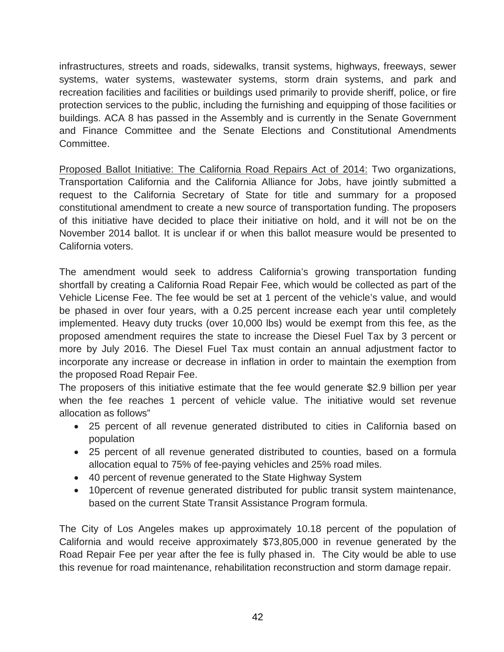infrastructures, streets and roads, sidewalks, transit systems, highways, freeways, sewer systems, water systems, wastewater systems, storm drain systems, and park and recreation facilities and facilities or buildings used primarily to provide sheriff, police, or fire protection services to the public, including the furnishing and equipping of those facilities or buildings. ACA 8 has passed in the Assembly and is currently in the Senate Government and Finance Committee and the Senate Elections and Constitutional Amendments Committee.

Proposed Ballot Initiative: The California Road Repairs Act of 2014: Two organizations, Transportation California and the California Alliance for Jobs, have jointly submitted a request to the California Secretary of State for title and summary for a proposed constitutional amendment to create a new source of transportation funding. The proposers of this initiative have decided to place their initiative on hold, and it will not be on the November 2014 ballot. It is unclear if or when this ballot measure would be presented to California voters.

The amendment would seek to address California's growing transportation funding shortfall by creating a California Road Repair Fee, which would be collected as part of the Vehicle License Fee. The fee would be set at 1 percent of the vehicle's value, and would be phased in over four years, with a 0.25 percent increase each year until completely implemented. Heavy duty trucks (over 10,000 lbs) would be exempt from this fee, as the proposed amendment requires the state to increase the Diesel Fuel Tax by 3 percent or more by July 2016. The Diesel Fuel Tax must contain an annual adjustment factor to incorporate any increase or decrease in inflation in order to maintain the exemption from the proposed Road Repair Fee.

The proposers of this initiative estimate that the fee would generate \$2.9 billion per year when the fee reaches 1 percent of vehicle value. The initiative would set revenue allocation as follows"

- 25 percent of all revenue generated distributed to cities in California based on population
- 25 percent of all revenue generated distributed to counties, based on a formula allocation equal to 75% of fee-paying vehicles and 25% road miles.
- 40 percent of revenue generated to the State Highway System
- 10percent of revenue generated distributed for public transit system maintenance, based on the current State Transit Assistance Program formula.

The City of Los Angeles makes up approximately 10.18 percent of the population of California and would receive approximately \$73,805,000 in revenue generated by the Road Repair Fee per year after the fee is fully phased in. The City would be able to use this revenue for road maintenance, rehabilitation reconstruction and storm damage repair.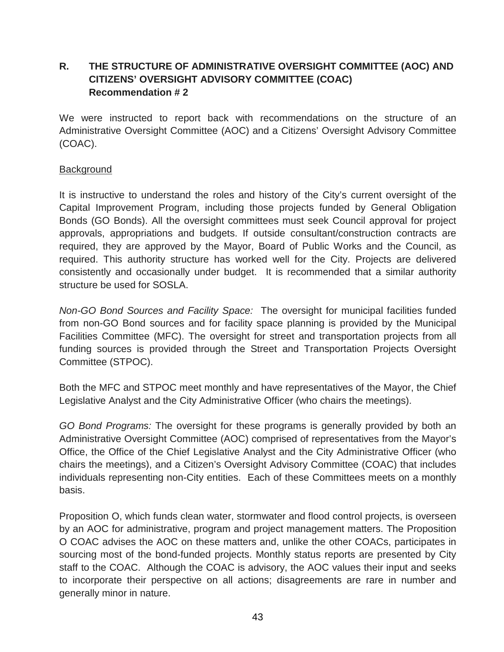# **R. THE STRUCTURE OF ADMINISTRATIVE OVERSIGHT COMMITTEE (AOC) AND CITIZENS' OVERSIGHT ADVISORY COMMITTEE (COAC) Recommendation # 2**

We were instructed to report back with recommendations on the structure of an Administrative Oversight Committee (AOC) and a Citizens' Oversight Advisory Committee (COAC).

### **Background**

It is instructive to understand the roles and history of the City's current oversight of the Capital Improvement Program, including those projects funded by General Obligation Bonds (GO Bonds). All the oversight committees must seek Council approval for project approvals, appropriations and budgets. If outside consultant/construction contracts are required, they are approved by the Mayor, Board of Public Works and the Council, as required. This authority structure has worked well for the City. Projects are delivered consistently and occasionally under budget. It is recommended that a similar authority structure be used for SOSLA.

*Non-GO Bond Sources and Facility Space:* The oversight for municipal facilities funded from non-GO Bond sources and for facility space planning is provided by the Municipal Facilities Committee (MFC). The oversight for street and transportation projects from all funding sources is provided through the Street and Transportation Projects Oversight Committee (STPOC).

Both the MFC and STPOC meet monthly and have representatives of the Mayor, the Chief Legislative Analyst and the City Administrative Officer (who chairs the meetings).

*GO Bond Programs:* The oversight for these programs is generally provided by both an Administrative Oversight Committee (AOC) comprised of representatives from the Mayor's Office, the Office of the Chief Legislative Analyst and the City Administrative Officer (who chairs the meetings), and a Citizen's Oversight Advisory Committee (COAC) that includes individuals representing non-City entities. Each of these Committees meets on a monthly basis.

Proposition O, which funds clean water, stormwater and flood control projects, is overseen by an AOC for administrative, program and project management matters. The Proposition O COAC advises the AOC on these matters and, unlike the other COACs, participates in sourcing most of the bond-funded projects. Monthly status reports are presented by City staff to the COAC. Although the COAC is advisory, the AOC values their input and seeks to incorporate their perspective on all actions; disagreements are rare in number and generally minor in nature.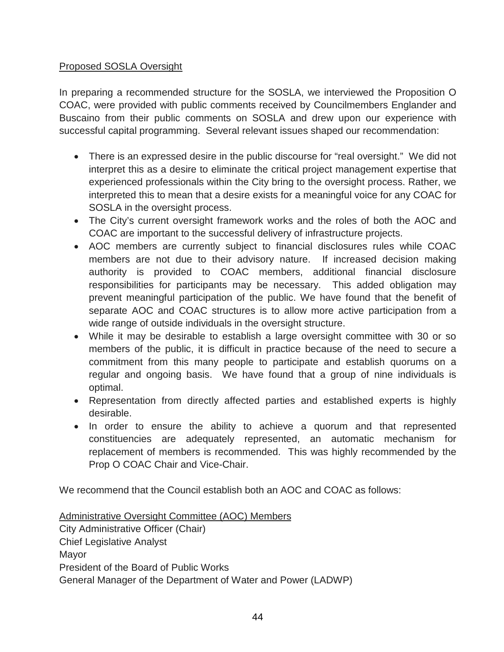### Proposed SOSLA Oversight

In preparing a recommended structure for the SOSLA, we interviewed the Proposition O COAC, were provided with public comments received by Councilmembers Englander and Buscaino from their public comments on SOSLA and drew upon our experience with successful capital programming. Several relevant issues shaped our recommendation:

- There is an expressed desire in the public discourse for "real oversight." We did not interpret this as a desire to eliminate the critical project management expertise that experienced professionals within the City bring to the oversight process. Rather, we interpreted this to mean that a desire exists for a meaningful voice for any COAC for SOSLA in the oversight process.
- The City's current oversight framework works and the roles of both the AOC and COAC are important to the successful delivery of infrastructure projects.
- AOC members are currently subject to financial disclosures rules while COAC members are not due to their advisory nature. If increased decision making authority is provided to COAC members, additional financial disclosure responsibilities for participants may be necessary. This added obligation may prevent meaningful participation of the public. We have found that the benefit of separate AOC and COAC structures is to allow more active participation from a wide range of outside individuals in the oversight structure.
- While it may be desirable to establish a large oversight committee with 30 or so members of the public, it is difficult in practice because of the need to secure a commitment from this many people to participate and establish quorums on a regular and ongoing basis. We have found that a group of nine individuals is optimal.
- Representation from directly affected parties and established experts is highly desirable.
- In order to ensure the ability to achieve a quorum and that represented constituencies are adequately represented, an automatic mechanism for replacement of members is recommended. This was highly recommended by the Prop O COAC Chair and Vice-Chair.

We recommend that the Council establish both an AOC and COAC as follows:

Administrative Oversight Committee (AOC) Members City Administrative Officer (Chair) Chief Legislative Analyst Mayor President of the Board of Public Works General Manager of the Department of Water and Power (LADWP)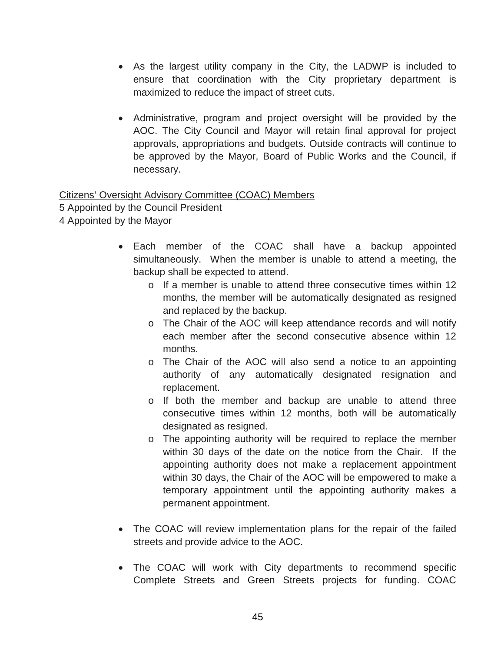- As the largest utility company in the City, the LADWP is included to ensure that coordination with the City proprietary department is maximized to reduce the impact of street cuts.
- Administrative, program and project oversight will be provided by the AOC. The City Council and Mayor will retain final approval for project approvals, appropriations and budgets. Outside contracts will continue to be approved by the Mayor, Board of Public Works and the Council, if necessary.

Citizens' Oversight Advisory Committee (COAC) Members

5 Appointed by the Council President

- 4 Appointed by the Mayor
	- Each member of the COAC shall have a backup appointed simultaneously. When the member is unable to attend a meeting, the backup shall be expected to attend.
		- o If a member is unable to attend three consecutive times within 12 months, the member will be automatically designated as resigned and replaced by the backup.
		- $\circ$  The Chair of the AOC will keep attendance records and will notify each member after the second consecutive absence within 12 months.
		- o The Chair of the AOC will also send a notice to an appointing authority of any automatically designated resignation and replacement.
		- o If both the member and backup are unable to attend three consecutive times within 12 months, both will be automatically designated as resigned.
		- o The appointing authority will be required to replace the member within 30 days of the date on the notice from the Chair. If the appointing authority does not make a replacement appointment within 30 days, the Chair of the AOC will be empowered to make a temporary appointment until the appointing authority makes a permanent appointment.
	- The COAC will review implementation plans for the repair of the failed streets and provide advice to the AOC.
	- The COAC will work with City departments to recommend specific Complete Streets and Green Streets projects for funding. COAC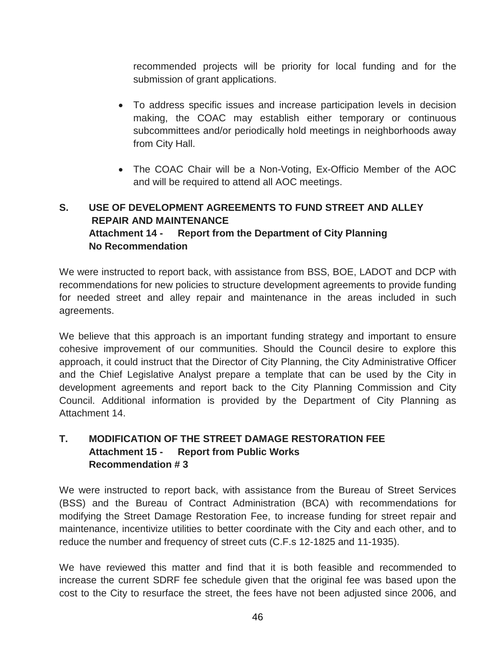recommended projects will be priority for local funding and for the submission of grant applications.

- To address specific issues and increase participation levels in decision making, the COAC may establish either temporary or continuous subcommittees and/or periodically hold meetings in neighborhoods away from City Hall.
- The COAC Chair will be a Non-Voting, Ex-Officio Member of the AOC and will be required to attend all AOC meetings.

# **S. USE OF DEVELOPMENT AGREEMENTS TO FUND STREET AND ALLEY REPAIR AND MAINTENANCE Attachment 14 - Report from the Department of City Planning No Recommendation**

We were instructed to report back, with assistance from BSS, BOE, LADOT and DCP with recommendations for new policies to structure development agreements to provide funding for needed street and alley repair and maintenance in the areas included in such agreements.

We believe that this approach is an important funding strategy and important to ensure cohesive improvement of our communities. Should the Council desire to explore this approach, it could instruct that the Director of City Planning, the City Administrative Officer and the Chief Legislative Analyst prepare a template that can be used by the City in development agreements and report back to the City Planning Commission and City Council. Additional information is provided by the Department of City Planning as Attachment 14.

## **T. MODIFICATION OF THE STREET DAMAGE RESTORATION FEE Attachment 15 - Report from Public Works Recommendation # 3**

We were instructed to report back, with assistance from the Bureau of Street Services (BSS) and the Bureau of Contract Administration (BCA) with recommendations for modifying the Street Damage Restoration Fee, to increase funding for street repair and maintenance, incentivize utilities to better coordinate with the City and each other, and to reduce the number and frequency of street cuts (C.F.s 12-1825 and 11-1935).

We have reviewed this matter and find that it is both feasible and recommended to increase the current SDRF fee schedule given that the original fee was based upon the cost to the City to resurface the street, the fees have not been adjusted since 2006, and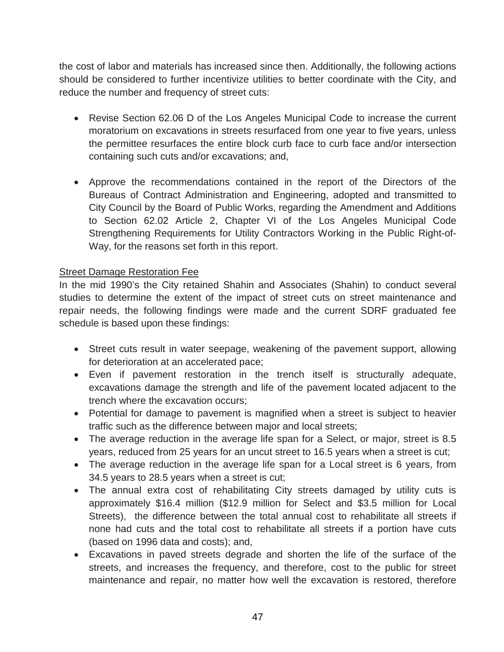the cost of labor and materials has increased since then. Additionally, the following actions should be considered to further incentivize utilities to better coordinate with the City, and reduce the number and frequency of street cuts:

- Revise Section 62.06 D of the Los Angeles Municipal Code to increase the current moratorium on excavations in streets resurfaced from one year to five years, unless the permittee resurfaces the entire block curb face to curb face and/or intersection containing such cuts and/or excavations; and,
- Approve the recommendations contained in the report of the Directors of the Bureaus of Contract Administration and Engineering, adopted and transmitted to City Council by the Board of Public Works, regarding the Amendment and Additions to Section 62.02 Article 2, Chapter VI of the Los Angeles Municipal Code Strengthening Requirements for Utility Contractors Working in the Public Right-of-Way, for the reasons set forth in this report.

### Street Damage Restoration Fee

In the mid 1990's the City retained Shahin and Associates (Shahin) to conduct several studies to determine the extent of the impact of street cuts on street maintenance and repair needs, the following findings were made and the current SDRF graduated fee schedule is based upon these findings:

- Street cuts result in water seepage, weakening of the pavement support, allowing for deterioration at an accelerated pace;
- Even if pavement restoration in the trench itself is structurally adequate, excavations damage the strength and life of the pavement located adjacent to the trench where the excavation occurs;
- Potential for damage to pavement is magnified when a street is subject to heavier traffic such as the difference between major and local streets;
- The average reduction in the average life span for a Select, or major, street is 8.5 years, reduced from 25 years for an uncut street to 16.5 years when a street is cut;
- The average reduction in the average life span for a Local street is 6 years, from 34.5 years to 28.5 years when a street is cut;
- The annual extra cost of rehabilitating City streets damaged by utility cuts is approximately \$16.4 million (\$12.9 million for Select and \$3.5 million for Local Streets), the difference between the total annual cost to rehabilitate all streets if none had cuts and the total cost to rehabilitate all streets if a portion have cuts (based on 1996 data and costs); and,
- Excavations in paved streets degrade and shorten the life of the surface of the streets, and increases the frequency, and therefore, cost to the public for street maintenance and repair, no matter how well the excavation is restored, therefore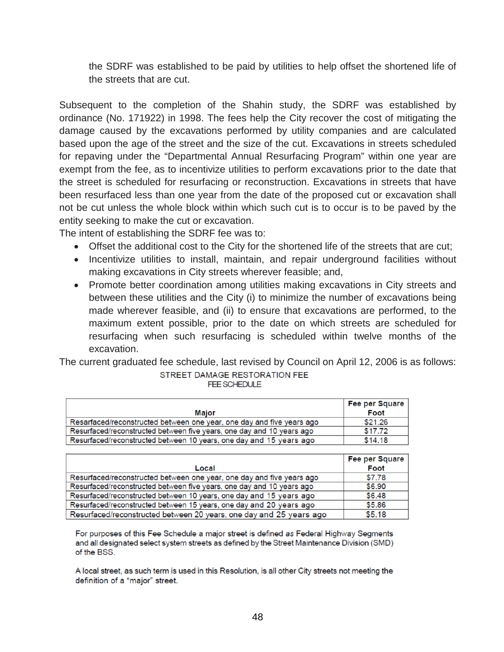the SDRF was established to be paid by utilities to help offset the shortened life of the streets that are cut.

Subsequent to the completion of the Shahin study, the SDRF was established by ordinance (No. 171922) in 1998. The fees help the City recover the cost of mitigating the damage caused by the excavations performed by utility companies and are calculated based upon the age of the street and the size of the cut. Excavations in streets scheduled for repaving under the "Departmental Annual Resurfacing Program" within one year are exempt from the fee, as to incentivize utilities to perform excavations prior to the date that the street is scheduled for resurfacing or reconstruction. Excavations in streets that have been resurfaced less than one year from the date of the proposed cut or excavation shall not be cut unless the whole block within which such cut is to occur is to be paved by the entity seeking to make the cut or excavation.

The intent of establishing the SDRF fee was to:

- Offset the additional cost to the City for the shortened life of the streets that are cut;
- Incentivize utilities to install, maintain, and repair underground facilities without making excavations in City streets wherever feasible; and,
- Promote better coordination among utilities making excavations in City streets and between these utilities and the City (i) to minimize the number of excavations being made wherever feasible, and (ii) to ensure that excavations are performed, to the maximum extent possible, prior to the date on which streets are scheduled for resurfacing when such resurfacing is scheduled within twelve months of the excavation.

The current graduated fee schedule, last revised by Council on April 12, 2006 is as follows:STREET DAMAGE RESTORATION FEE

|  | <b>FF SCHEDULE</b> |  |  |
|--|--------------------|--|--|
|  |                    |  |  |

|                                                                       | Fee per Square |
|-----------------------------------------------------------------------|----------------|
| Maior                                                                 | Foot           |
| Resarfaced/reconstructed between one year, one day and five years ago | \$21.26        |
| Resurfaced/reconstructed between five years, one day and 10 years ago | \$17.72        |
| Resurfaced/reconstructed between 10 years, one day and 15 years ago   | \$14.18        |

|                                                                       | Fee per Square |
|-----------------------------------------------------------------------|----------------|
| Local                                                                 | Foot           |
| Resurfaced/reconstructed between one year, one day and five years ago | \$7.78         |
| Resurfaced/reconstructed between five years, one day and 10 years ago | \$6.90         |
| Resurfaced/reconstructed between 10 years, one day and 15 years ago   | \$6.48         |
| Resurfaced/reconstructed between 15 years, one day and 20 years ago   | \$5.86         |
| Resurfaced/reconstructed between 20 years, one day and 25 years ago   | \$5.18         |

For purposes of this Fee Schedule a major street is defined as Federal Highway Segments and all designated select system streets as defined by the Street Maintenance Division (SMD) of the BSS.

A local street, as such term is used in this Resolution, is all other City streets not meeting the definition of a "major" street.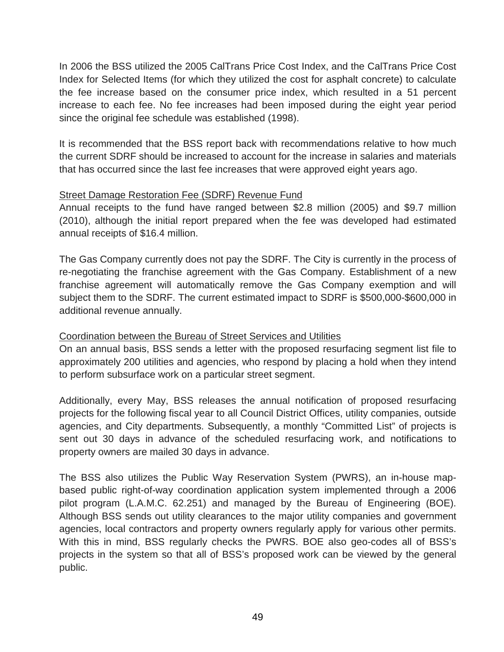In 2006 the BSS utilized the 2005 CalTrans Price Cost Index, and the CalTrans Price Cost Index for Selected Items (for which they utilized the cost for asphalt concrete) to calculate the fee increase based on the consumer price index, which resulted in a 51 percent increase to each fee. No fee increases had been imposed during the eight year period since the original fee schedule was established (1998).

It is recommended that the BSS report back with recommendations relative to how much the current SDRF should be increased to account for the increase in salaries and materials that has occurred since the last fee increases that were approved eight years ago.

#### Street Damage Restoration Fee (SDRF) Revenue Fund

Annual receipts to the fund have ranged between \$2.8 million (2005) and \$9.7 million (2010), although the initial report prepared when the fee was developed had estimated annual receipts of \$16.4 million.

The Gas Company currently does not pay the SDRF. The City is currently in the process of re-negotiating the franchise agreement with the Gas Company. Establishment of a new franchise agreement will automatically remove the Gas Company exemption and will subject them to the SDRF. The current estimated impact to SDRF is \$500,000-\$600,000 in additional revenue annually.

#### Coordination between the Bureau of Street Services and Utilities

On an annual basis, BSS sends a letter with the proposed resurfacing segment list file to approximately 200 utilities and agencies, who respond by placing a hold when they intend to perform subsurface work on a particular street segment.

Additionally, every May, BSS releases the annual notification of proposed resurfacing projects for the following fiscal year to all Council District Offices, utility companies, outside agencies, and City departments. Subsequently, a monthly "Committed List" of projects is sent out 30 days in advance of the scheduled resurfacing work, and notifications to property owners are mailed 30 days in advance.

The BSS also utilizes the Public Way Reservation System (PWRS), an in-house mapbased public right-of-way coordination application system implemented through a 2006 pilot program (L.A.M.C. 62.251) and managed by the Bureau of Engineering (BOE). Although BSS sends out utility clearances to the major utility companies and government agencies, local contractors and property owners regularly apply for various other permits. With this in mind, BSS regularly checks the PWRS. BOE also geo-codes all of BSS's projects in the system so that all of BSS's proposed work can be viewed by the general public.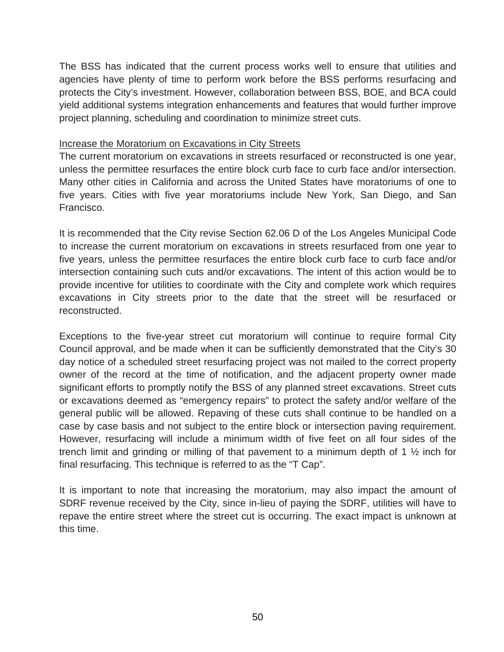The BSS has indicated that the current process works well to ensure that utilities and agencies have plenty of time to perform work before the BSS performs resurfacing and protects the City's investment. However, collaboration between BSS, BOE, and BCA could yield additional systems integration enhancements and features that would further improve project planning, scheduling and coordination to minimize street cuts.

#### Increase the Moratorium on Excavations in City Streets

The current moratorium on excavations in streets resurfaced or reconstructed is one year, unless the permittee resurfaces the entire block curb face to curb face and/or intersection. Many other cities in California and across the United States have moratoriums of one to five years. Cities with five year moratoriums include New York, San Diego, and San Francisco.

It is recommended that the City revise Section 62.06 D of the Los Angeles Municipal Code to increase the current moratorium on excavations in streets resurfaced from one year to five years, unless the permittee resurfaces the entire block curb face to curb face and/or intersection containing such cuts and/or excavations. The intent of this action would be to provide incentive for utilities to coordinate with the City and complete work which requires excavations in City streets prior to the date that the street will be resurfaced or reconstructed.

Exceptions to the five-year street cut moratorium will continue to require formal City Council approval, and be made when it can be sufficiently demonstrated that the City's 30 day notice of a scheduled street resurfacing project was not mailed to the correct property owner of the record at the time of notification, and the adjacent property owner made significant efforts to promptly notify the BSS of any planned street excavations. Street cuts or excavations deemed as "emergency repairs" to protect the safety and/or welfare of the general public will be allowed. Repaving of these cuts shall continue to be handled on a case by case basis and not subject to the entire block or intersection paving requirement. However, resurfacing will include a minimum width of five feet on all four sides of the trench limit and grinding or milling of that pavement to a minimum depth of 1 ½ inch for final resurfacing. This technique is referred to as the "T Cap".

It is important to note that increasing the moratorium, may also impact the amount of SDRF revenue received by the City, since in-lieu of paying the SDRF, utilities will have to repave the entire street where the street cut is occurring. The exact impact is unknown at this time.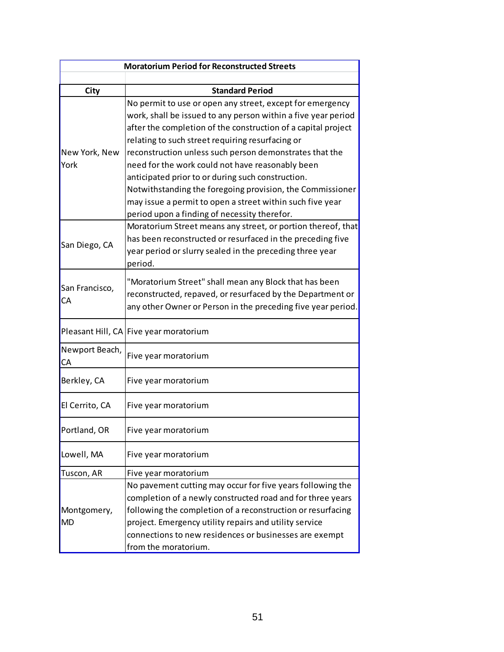| <b>Moratorium Period for Reconstructed Streets</b>                                                                                                                                                                                                                                                                                                                                                                                                                                                                                                                                            |  |  |  |  |
|-----------------------------------------------------------------------------------------------------------------------------------------------------------------------------------------------------------------------------------------------------------------------------------------------------------------------------------------------------------------------------------------------------------------------------------------------------------------------------------------------------------------------------------------------------------------------------------------------|--|--|--|--|
|                                                                                                                                                                                                                                                                                                                                                                                                                                                                                                                                                                                               |  |  |  |  |
| <b>Standard Period</b>                                                                                                                                                                                                                                                                                                                                                                                                                                                                                                                                                                        |  |  |  |  |
| No permit to use or open any street, except for emergency<br>work, shall be issued to any person within a five year period<br>after the completion of the construction of a capital project<br>relating to such street requiring resurfacing or<br>reconstruction unless such person demonstrates that the<br>need for the work could not have reasonably been<br>anticipated prior to or during such construction.<br>Notwithstanding the foregoing provision, the Commissioner<br>may issue a permit to open a street within such five year<br>period upon a finding of necessity therefor. |  |  |  |  |
| Moratorium Street means any street, or portion thereof, that<br>has been reconstructed or resurfaced in the preceding five<br>year period or slurry sealed in the preceding three year<br>period.                                                                                                                                                                                                                                                                                                                                                                                             |  |  |  |  |
| "Moratorium Street" shall mean any Block that has been<br>reconstructed, repaved, or resurfaced by the Department or<br>any other Owner or Person in the preceding five year period.                                                                                                                                                                                                                                                                                                                                                                                                          |  |  |  |  |
| Pleasant Hill, CA Five year moratorium                                                                                                                                                                                                                                                                                                                                                                                                                                                                                                                                                        |  |  |  |  |
| Five year moratorium                                                                                                                                                                                                                                                                                                                                                                                                                                                                                                                                                                          |  |  |  |  |
| Five year moratorium                                                                                                                                                                                                                                                                                                                                                                                                                                                                                                                                                                          |  |  |  |  |
| Five year moratorium                                                                                                                                                                                                                                                                                                                                                                                                                                                                                                                                                                          |  |  |  |  |
| Five year moratorium                                                                                                                                                                                                                                                                                                                                                                                                                                                                                                                                                                          |  |  |  |  |
| Five year moratorium                                                                                                                                                                                                                                                                                                                                                                                                                                                                                                                                                                          |  |  |  |  |
| Five year moratorium                                                                                                                                                                                                                                                                                                                                                                                                                                                                                                                                                                          |  |  |  |  |
| No pavement cutting may occur for five years following the<br>completion of a newly constructed road and for three years<br>following the completion of a reconstruction or resurfacing<br>project. Emergency utility repairs and utility service<br>connections to new residences or businesses are exempt<br>from the moratorium.                                                                                                                                                                                                                                                           |  |  |  |  |
|                                                                                                                                                                                                                                                                                                                                                                                                                                                                                                                                                                                               |  |  |  |  |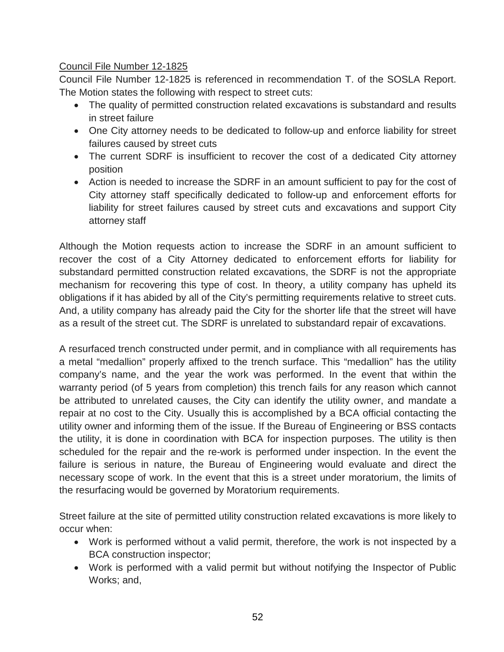### Council File Number 12-1825

Council File Number 12-1825 is referenced in recommendation T. of the SOSLA Report. The Motion states the following with respect to street cuts:

- The quality of permitted construction related excavations is substandard and results in street failure
- One City attorney needs to be dedicated to follow-up and enforce liability for street failures caused by street cuts
- The current SDRF is insufficient to recover the cost of a dedicated City attorney position
- Action is needed to increase the SDRF in an amount sufficient to pay for the cost of City attorney staff specifically dedicated to follow-up and enforcement efforts for liability for street failures caused by street cuts and excavations and support City attorney staff

Although the Motion requests action to increase the SDRF in an amount sufficient to recover the cost of a City Attorney dedicated to enforcement efforts for liability for substandard permitted construction related excavations, the SDRF is not the appropriate mechanism for recovering this type of cost. In theory, a utility company has upheld its obligations if it has abided by all of the City's permitting requirements relative to street cuts. And, a utility company has already paid the City for the shorter life that the street will have as a result of the street cut. The SDRF is unrelated to substandard repair of excavations.

A resurfaced trench constructed under permit, and in compliance with all requirements has a metal "medallion" properly affixed to the trench surface. This "medallion" has the utility company's name, and the year the work was performed. In the event that within the warranty period (of 5 years from completion) this trench fails for any reason which cannot be attributed to unrelated causes, the City can identify the utility owner, and mandate a repair at no cost to the City. Usually this is accomplished by a BCA official contacting the utility owner and informing them of the issue. If the Bureau of Engineering or BSS contacts the utility, it is done in coordination with BCA for inspection purposes. The utility is then scheduled for the repair and the re-work is performed under inspection. In the event the failure is serious in nature, the Bureau of Engineering would evaluate and direct the necessary scope of work. In the event that this is a street under moratorium, the limits of the resurfacing would be governed by Moratorium requirements.

Street failure at the site of permitted utility construction related excavations is more likely to occur when:

- Work is performed without a valid permit, therefore, the work is not inspected by a BCA construction inspector;
- Work is performed with a valid permit but without notifying the Inspector of Public Works; and,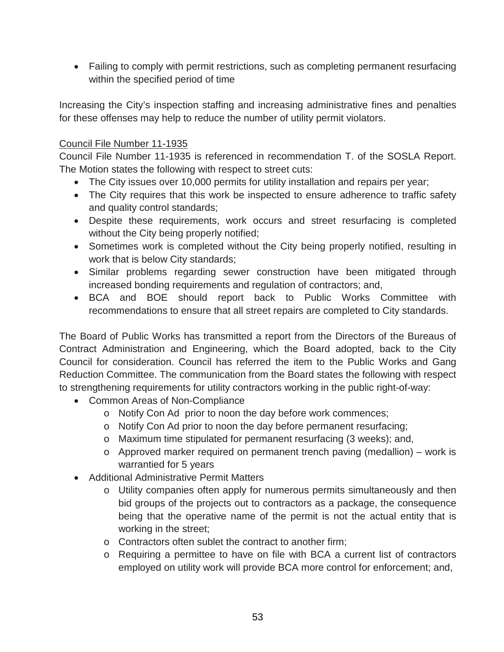• Failing to comply with permit restrictions, such as completing permanent resurfacing within the specified period of time

Increasing the City's inspection staffing and increasing administrative fines and penalties for these offenses may help to reduce the number of utility permit violators.

### Council File Number 11-1935

Council File Number 11-1935 is referenced in recommendation T. of the SOSLA Report. The Motion states the following with respect to street cuts:

- The City issues over 10,000 permits for utility installation and repairs per year;
- The City requires that this work be inspected to ensure adherence to traffic safety and quality control standards;
- Despite these requirements, work occurs and street resurfacing is completed without the City being properly notified;
- Sometimes work is completed without the City being properly notified, resulting in work that is below City standards;
- Similar problems regarding sewer construction have been mitigated through increased bonding requirements and regulation of contractors; and,
- BCA and BOE should report back to Public Works Committee with recommendations to ensure that all street repairs are completed to City standards.

The Board of Public Works has transmitted a report from the Directors of the Bureaus of Contract Administration and Engineering, which the Board adopted, back to the City Council for consideration. Council has referred the item to the Public Works and Gang Reduction Committee. The communication from the Board states the following with respect to strengthening requirements for utility contractors working in the public right-of-way:

- Common Areas of Non-Compliance
	- o Notify Con Ad prior to noon the day before work commences;
	- o Notify Con Ad prior to noon the day before permanent resurfacing;
	- o Maximum time stipulated for permanent resurfacing (3 weeks); and,
	- o Approved marker required on permanent trench paving (medallion) work is warrantied for 5 years
- Additional Administrative Permit Matters
	- o Utility companies often apply for numerous permits simultaneously and then bid groups of the projects out to contractors as a package, the consequence being that the operative name of the permit is not the actual entity that is working in the street;
	- o Contractors often sublet the contract to another firm;
	- o Requiring a permittee to have on file with BCA a current list of contractors employed on utility work will provide BCA more control for enforcement; and,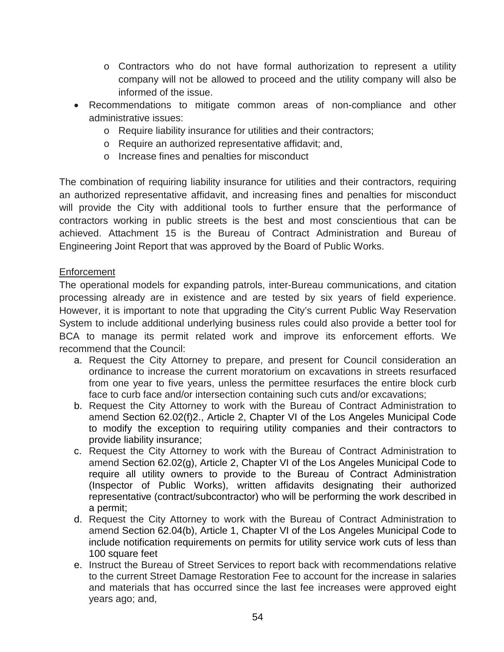- o Contractors who do not have formal authorization to represent a utility company will not be allowed to proceed and the utility company will also be informed of the issue.
- Recommendations to mitigate common areas of non-compliance and other administrative issues:
	- o Require liability insurance for utilities and their contractors;
	- o Require an authorized representative affidavit; and,
	- o Increase fines and penalties for misconduct

The combination of requiring liability insurance for utilities and their contractors, requiring an authorized representative affidavit, and increasing fines and penalties for misconduct will provide the City with additional tools to further ensure that the performance of contractors working in public streets is the best and most conscientious that can be achieved. Attachment 15 is the Bureau of Contract Administration and Bureau of Engineering Joint Report that was approved by the Board of Public Works.

#### Enforcement

The operational models for expanding patrols, inter-Bureau communications, and citation processing already are in existence and are tested by six years of field experience. However, it is important to note that upgrading the City's current Public Way Reservation System to include additional underlying business rules could also provide a better tool for BCA to manage its permit related work and improve its enforcement efforts. We recommend that the Council:

- a. Request the City Attorney to prepare, and present for Council consideration an ordinance to increase the current moratorium on excavations in streets resurfaced from one year to five years, unless the permittee resurfaces the entire block curb face to curb face and/or intersection containing such cuts and/or excavations;
- b. Request the City Attorney to work with the Bureau of Contract Administration to amend Section 62.02(f)2., Article 2, Chapter VI of the Los Angeles Municipal Code to modify the exception to requiring utility companies and their contractors to provide liability insurance;
- c. Request the City Attorney to work with the Bureau of Contract Administration to amend Section 62.02(g), Article 2, Chapter VI of the Los Angeles Municipal Code to require all utility owners to provide to the Bureau of Contract Administration (Inspector of Public Works), written affidavits designating their authorized representative (contract/subcontractor) who will be performing the work described in a permit;
- d. Request the City Attorney to work with the Bureau of Contract Administration to amend Section 62.04(b), Article 1, Chapter VI of the Los Angeles Municipal Code to include notification requirements on permits for utility service work cuts of less than 100 square feet
- e. Instruct the Bureau of Street Services to report back with recommendations relative to the current Street Damage Restoration Fee to account for the increase in salaries and materials that has occurred since the last fee increases were approved eight years ago; and,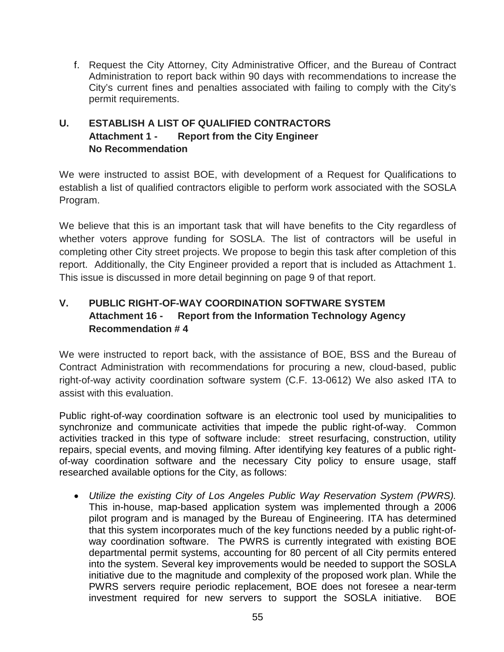f. Request the City Attorney, City Administrative Officer, and the Bureau of Contract Administration to report back within 90 days with recommendations to increase the City's current fines and penalties associated with failing to comply with the City's permit requirements.

# **U. ESTABLISH A LIST OF QUALIFIED CONTRACTORS Attachment 1 - Report from the City Engineer No Recommendation**

We were instructed to assist BOE, with development of a Request for Qualifications to establish a list of qualified contractors eligible to perform work associated with the SOSLA Program.

We believe that this is an important task that will have benefits to the City regardless of whether voters approve funding for SOSLA. The list of contractors will be useful in completing other City street projects. We propose to begin this task after completion of this report. Additionally, the City Engineer provided a report that is included as Attachment 1. This issue is discussed in more detail beginning on page 9 of that report.

# **V. PUBLIC RIGHT-OF-WAY COORDINATION SOFTWARE SYSTEM Attachment 16 - Report from the Information Technology Agency Recommendation # 4**

We were instructed to report back, with the assistance of BOE, BSS and the Bureau of Contract Administration with recommendations for procuring a new, cloud-based, public right-of-way activity coordination software system (C.F. 13-0612) We also asked ITA to assist with this evaluation.

Public right-of-way coordination software is an electronic tool used by municipalities to synchronize and communicate activities that impede the public right-of-way. Common activities tracked in this type of software include: street resurfacing, construction, utility repairs, special events, and moving filming. After identifying key features of a public rightof-way coordination software and the necessary City policy to ensure usage, staff researched available options for the City, as follows:

• *Utilize the existing City of Los Angeles Public Way Reservation System (PWRS).* This in-house, map-based application system was implemented through a 2006 pilot program and is managed by the Bureau of Engineering. ITA has determined that this system incorporates much of the key functions needed by a public right-ofway coordination software. The PWRS is currently integrated with existing BOE departmental permit systems, accounting for 80 percent of all City permits entered into the system. Several key improvements would be needed to support the SOSLA initiative due to the magnitude and complexity of the proposed work plan. While the PWRS servers require periodic replacement, BOE does not foresee a near-term investment required for new servers to support the SOSLA initiative. BOE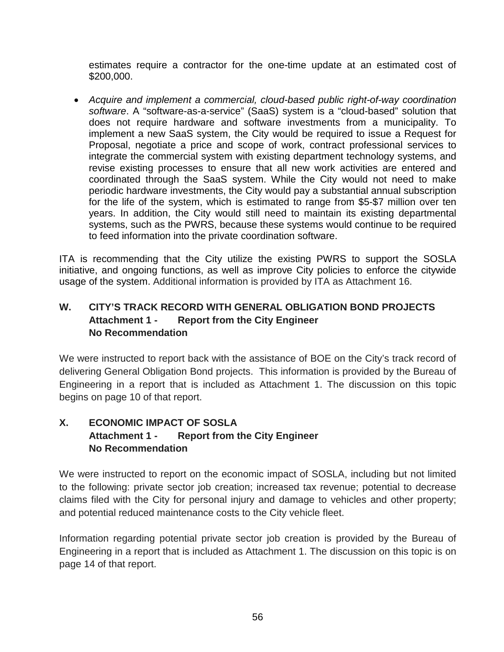estimates require a contractor for the one-time update at an estimated cost of \$200,000.

• *Acquire and implement a commercial, cloud-based public right-of-way coordination software*. A "software-as-a-service" (SaaS) system is a "cloud-based" solution that does not require hardware and software investments from a municipality. To implement a new SaaS system, the City would be required to issue a Request for Proposal, negotiate a price and scope of work, contract professional services to integrate the commercial system with existing department technology systems, and revise existing processes to ensure that all new work activities are entered and coordinated through the SaaS system. While the City would not need to make periodic hardware investments, the City would pay a substantial annual subscription for the life of the system, which is estimated to range from \$5-\$7 million over ten years. In addition, the City would still need to maintain its existing departmental systems, such as the PWRS, because these systems would continue to be required to feed information into the private coordination software.

ITA is recommending that the City utilize the existing PWRS to support the SOSLA initiative, and ongoing functions, as well as improve City policies to enforce the citywide usage of the system. Additional information is provided by ITA as Attachment 16.

## **W. CITY'S TRACK RECORD WITH GENERAL OBLIGATION BOND PROJECTS Attachment 1 - Report from the City Engineer No Recommendation**

We were instructed to report back with the assistance of BOE on the City's track record of delivering General Obligation Bond projects. This information is provided by the Bureau of Engineering in a report that is included as Attachment 1. The discussion on this topic begins on page 10 of that report.

# **X. ECONOMIC IMPACT OF SOSLA Attachment 1 - Report from the City Engineer No Recommendation**

We were instructed to report on the economic impact of SOSLA, including but not limited to the following: private sector job creation; increased tax revenue; potential to decrease claims filed with the City for personal injury and damage to vehicles and other property; and potential reduced maintenance costs to the City vehicle fleet.

Information regarding potential private sector job creation is provided by the Bureau of Engineering in a report that is included as Attachment 1. The discussion on this topic is on page 14 of that report.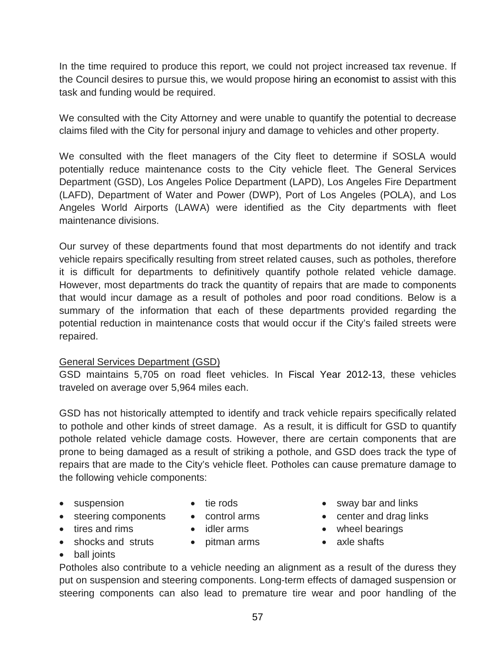In the time required to produce this report, we could not project increased tax revenue. If the Council desires to pursue this, we would propose hiring an economist to assist with this task and funding would be required.

We consulted with the City Attorney and were unable to quantify the potential to decrease claims filed with the City for personal injury and damage to vehicles and other property.

We consulted with the fleet managers of the City fleet to determine if SOSLA would potentially reduce maintenance costs to the City vehicle fleet. The General Services Department (GSD), Los Angeles Police Department (LAPD), Los Angeles Fire Department (LAFD), Department of Water and Power (DWP), Port of Los Angeles (POLA), and Los Angeles World Airports (LAWA) were identified as the City departments with fleet maintenance divisions.

Our survey of these departments found that most departments do not identify and track vehicle repairs specifically resulting from street related causes, such as potholes, therefore it is difficult for departments to definitively quantify pothole related vehicle damage. However, most departments do track the quantity of repairs that are made to components that would incur damage as a result of potholes and poor road conditions. Below is a summary of the information that each of these departments provided regarding the potential reduction in maintenance costs that would occur if the City's failed streets were repaired.

#### General Services Department (GSD)

GSD maintains 5,705 on road fleet vehicles. In Fiscal Year 2012-13, these vehicles traveled on average over 5,964 miles each.

GSD has not historically attempted to identify and track vehicle repairs specifically related to pothole and other kinds of street damage. As a result, it is difficult for GSD to quantify pothole related vehicle damage costs. However, there are certain components that are prone to being damaged as a result of striking a pothole, and GSD does track the type of repairs that are made to the City's vehicle fleet. Potholes can cause premature damage to the following vehicle components:

- suspension
- tie rods
- steering components
- tires and rims
- control arms
- 
- 
- shocks and struts
- idler arms
- pitman arms
- sway bar and links
- center and drag links
- wheel bearings
- axle shafts

• ball joints

Potholes also contribute to a vehicle needing an alignment as a result of the duress they put on suspension and steering components. Long-term effects of damaged suspension or steering components can also lead to premature tire wear and poor handling of the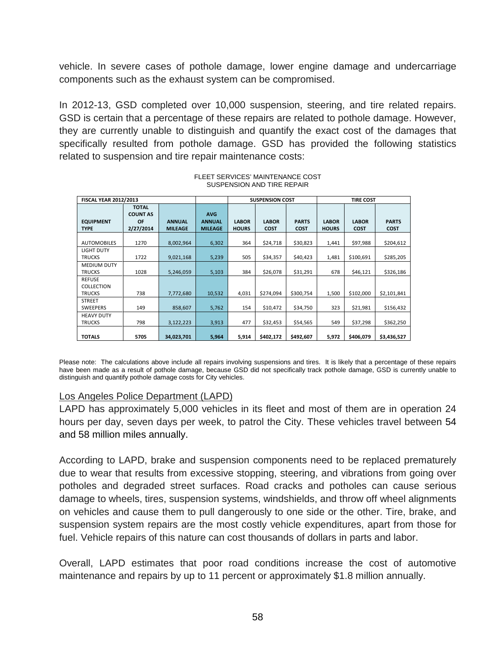vehicle. In severe cases of pothole damage, lower engine damage and undercarriage components such as the exhaust system can be compromised.

In 2012-13, GSD completed over 10,000 suspension, steering, and tire related repairs. GSD is certain that a percentage of these repairs are related to pothole damage. However, they are currently unable to distinguish and quantify the exact cost of the damages that specifically resulted from pothole damage. GSD has provided the following statistics related to suspension and tire repair maintenance costs:

| <b>FISCAL YEAR 2012/2013</b>        |                                                           |                                 |                                               |                              | <b>SUSPENSION COST</b>      |                             | <b>TIRE COST</b>             |                             |                             |  |
|-------------------------------------|-----------------------------------------------------------|---------------------------------|-----------------------------------------------|------------------------------|-----------------------------|-----------------------------|------------------------------|-----------------------------|-----------------------------|--|
| <b>EQUIPMENT</b><br><b>TYPE</b>     | <b>TOTAL</b><br><b>COUNT AS</b><br><b>OF</b><br>2/27/2014 | <b>ANNUAL</b><br><b>MILEAGE</b> | <b>AVG</b><br><b>ANNUAL</b><br><b>MILEAGE</b> | <b>LABOR</b><br><b>HOURS</b> | <b>LABOR</b><br><b>COST</b> | <b>PARTS</b><br><b>COST</b> | <b>LABOR</b><br><b>HOURS</b> | <b>LABOR</b><br><b>COST</b> | <b>PARTS</b><br><b>COST</b> |  |
| <b>AUTOMOBILES</b>                  | 1270                                                      | 8,002,964                       | 6,302                                         | 364                          | \$24,718                    | \$30,823                    | 1,441                        | \$97,988                    | \$204,612                   |  |
| <b>LIGHT DUTY</b><br><b>TRUCKS</b>  | 1722                                                      | 9,021,168                       | 5,239                                         | 505                          | \$34,357                    | \$40,423                    | 1,481                        | \$100,691                   | \$285,205                   |  |
| <b>MEDIUM DUTY</b><br><b>TRUCKS</b> | 1028                                                      | 5,246,059                       | 5,103                                         | 384                          | \$26,078                    | \$31,291                    | 678                          | \$46,121                    | \$326,186                   |  |
| <b>REFUSE</b><br><b>COLLECTION</b>  |                                                           |                                 |                                               |                              |                             |                             |                              |                             |                             |  |
| <b>TRUCKS</b>                       | 738                                                       | 7,772,680                       | 10,532                                        | 4,031                        | \$274,094                   | \$300,754                   | 1,500                        | \$102,000                   | \$2,101,841                 |  |
| <b>STREET</b><br><b>SWEEPERS</b>    | 149                                                       | 858,607                         | 5,762                                         | 154                          | \$10,472                    | \$34,750                    | 323                          | \$21,981                    | \$156,432                   |  |
| <b>HEAVY DUTY</b><br><b>TRUCKS</b>  | 798                                                       | 3,122,223                       | 3,913                                         | 477                          | \$32,453                    | \$54,565                    | 549                          | \$37,298                    | \$362,250                   |  |
| <b>TOTALS</b>                       | 5705                                                      | 34,023,701                      | 5,964                                         | 5,914                        | \$402,172                   | \$492,607                   | 5,972                        | \$406,079                   | \$3,436,527                 |  |

#### FLEET SERVICES' MAINTENANCE COST SUSPENSION AND TIRE REPAIR

Please note: The calculations above include all repairs involving suspensions and tires. It is likely that a percentage of these repairs have been made as a result of pothole damage, because GSD did not specifically track pothole damage, GSD is currently unable to distinguish and quantify pothole damage costs for City vehicles.

#### Los Angeles Police Department (LAPD)

LAPD has approximately 5,000 vehicles in its fleet and most of them are in operation 24 hours per day, seven days per week, to patrol the City. These vehicles travel between 54 and 58 million miles annually.

According to LAPD, brake and suspension components need to be replaced prematurely due to wear that results from excessive stopping, steering, and vibrations from going over potholes and degraded street surfaces. Road cracks and potholes can cause serious damage to wheels, tires, suspension systems, windshields, and throw off wheel alignments on vehicles and cause them to pull dangerously to one side or the other. Tire, brake, and suspension system repairs are the most costly vehicle expenditures, apart from those for fuel. Vehicle repairs of this nature can cost thousands of dollars in parts and labor.

Overall, LAPD estimates that poor road conditions increase the cost of automotive maintenance and repairs by up to 11 percent or approximately \$1.8 million annually.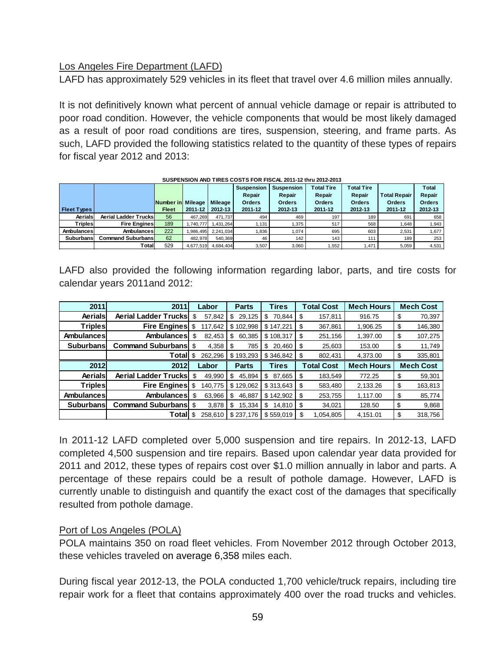### Los Angeles Fire Department (LAFD)

LAFD has approximately 529 vehicles in its fleet that travel over 4.6 million miles annually.

It is not definitively known what percent of annual vehicle damage or repair is attributed to poor road condition. However, the vehicle components that would be most likely damaged as a result of poor road conditions are tires, suspension, steering, and frame parts. As such, LAFD provided the following statistics related to the quantity of these types of repairs for fiscal year 2012 and 2013:

|                    |                             |                   |           |           | <b>Suspension</b> | <b>Suspension</b> | <b>Total Tire</b> | <b>Total Tire</b> |                     | <b>Total</b>  |
|--------------------|-----------------------------|-------------------|-----------|-----------|-------------------|-------------------|-------------------|-------------------|---------------------|---------------|
|                    |                             |                   |           |           | Repair            | Repair            | Repair            | Repair            | <b>Total Repair</b> | Repair        |
|                    |                             | Number in Mileage |           | Mileage   | <b>Orders</b>     | <b>Orders</b>     | <b>Orders</b>     | <b>Orders</b>     | <b>Orders</b>       | <b>Orders</b> |
| <b>Fleet Types</b> |                             | <b>Fleet</b>      | 2011-12   | 2012-13   | 2011-12           | 2012-13           | 2011-12           | 2012-13           | 2011-12             | 2012-13       |
| Aerials            | <b>Aerial Ladder Trucks</b> | 56                | 467,269   | 471.737   | 494               | 469               | 197               | 189               | 691                 | 658           |
| Triples            | <b>Fire Engines</b>         | 189               | .740.777  | 1.431.264 | .131              | 1.375             | 517               | 568               | .648                | 1,943         |
| Ambulances         | Ambulances                  | 222               | .986.495  | 2.241.034 | .836              | 1,074             | 695               | 603               | 2,531               | 1,677         |
| <b>Suburbans</b>   | <b>Command Suburbans</b>    | 62                | 482.978   | 540.369   | 46                | 142               | 143               | 111               | 189                 | 253           |
|                    | Totall                      | 529               | 4,677,519 | 4.684.404 | 3.507             | 3,060             | .552              | .471              | 5,059               | 4,531         |

#### **SUSPENSION AND TIRES COSTS FOR FISCAL 2011-12 thru 2012-2013**

LAFD also provided the following information regarding labor, parts, and tire costs for calendar years 2011and 2012:

| 2011              | 2011                        | Labor |         | <b>Parts</b> |    | <b>Tires</b> | <b>Total Cost</b> |                   | <b>Mech Hours</b> | <b>Mech Cost</b> |                  |
|-------------------|-----------------------------|-------|---------|--------------|----|--------------|-------------------|-------------------|-------------------|------------------|------------------|
| Aerials           | <b>Aerial Ladder Trucks</b> | \$    | 57,842  | 29,125<br>\$ | S  | 70.844       | \$                | 157,811           | 916.75            | \$               | 70,397           |
| <b>Triples</b>    | <b>Fire Engines</b>         | S     | 117,642 | \$102,998    |    | \$147.221    | \$                | 367,861           | 1,906.25          | \$               | 146,380          |
| Ambulances        | Ambulances                  | \$    | 82.453  | 60.385<br>S  |    | \$108.317    | \$                | 251,156           | 1,397.00          | \$               | 107,275          |
| <b>Suburbans</b>  | <b>Command Suburbansl</b>   | \$    | 4.358   | 785<br>S     | S  | 20.460       | S                 | 25,603            | 153.00            | \$               | 11,749           |
|                   | Total                       | S     | 262,296 | \$193,293    |    | \$346.842    | \$                | 802,431           | 4,373.00          | \$               | 335,801          |
|                   |                             |       |         |              |    |              |                   |                   |                   |                  |                  |
| 2012              | 2012                        |       | Labor   | <b>Parts</b> |    | <b>Tires</b> |                   | <b>Total Cost</b> | <b>Mech Hours</b> |                  | <b>Mech Cost</b> |
| Aerials           | <b>Aerial Ladder Trucks</b> | \$    | 49,990  | \$<br>45.894 | \$ | 87.665       | \$                | 183.549           | 772.25            | \$               | 59,301           |
| <b>Triples</b>    | <b>Fire Engines</b>         | S     | 140,775 | \$129,062    |    | \$313.643    | S                 | 583,480           | 2,133.26          | \$               | 163,813          |
| Ambulances        | <b>Ambulances</b>           | \$    | 63,966  | \$<br>46,887 |    | \$142,902    | \$                | 253,755           | 1.117.00          | \$               | 85,774           |
| <b>Suburbansl</b> | <b>Command Suburbans</b>    | \$    | 3,878   | \$<br>15,334 | \$ | 14.810       | S                 | 34,021            | 128.50            | \$               | 9,868            |

In 2011-12 LAFD completed over 5,000 suspension and tire repairs. In 2012-13, LAFD completed 4,500 suspension and tire repairs. Based upon calendar year data provided for 2011 and 2012, these types of repairs cost over \$1.0 million annually in labor and parts. A percentage of these repairs could be a result of pothole damage. However, LAFD is currently unable to distinguish and quantify the exact cost of the damages that specifically resulted from pothole damage.

### Port of Los Angeles (POLA)

POLA maintains 350 on road fleet vehicles. From November 2012 through October 2013, these vehicles traveled on average 6,358 miles each.

During fiscal year 2012-13, the POLA conducted 1,700 vehicle/truck repairs, including tire repair work for a fleet that contains approximately 400 over the road trucks and vehicles.